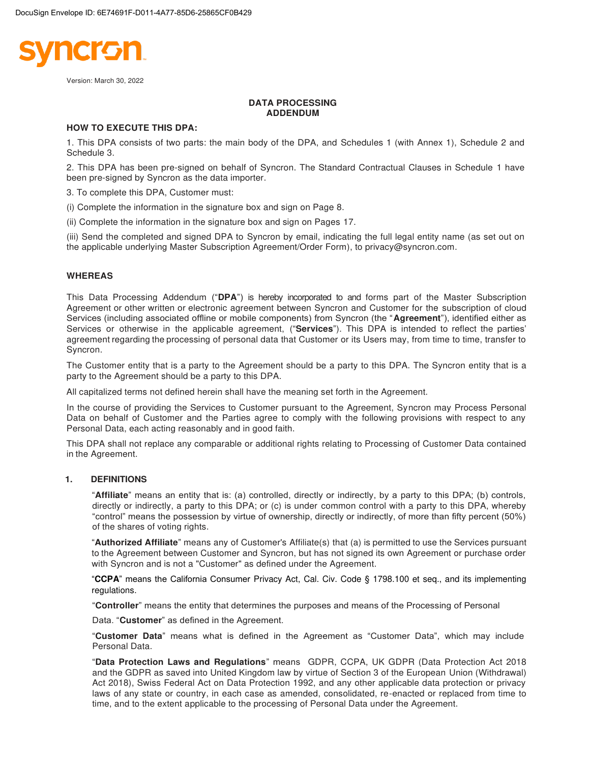

Version: March 30, 2022

# **DATA PROCESSING ADDENDUM**

# **HOW TO EXECUTE THIS DPA:**

1. This DPA consists of two parts: the main body of the DPA, and Schedules 1 (with Annex 1), Schedule 2 and Schedule 3.

2. This DPA has been pre-signed on behalf of Syncron. The Standard Contractual Clauses in Schedule 1 have been pre-signed by Syncron as the data importer.

3. To complete this DPA, Customer must:

(i) Complete the information in the signature box and sign on Page 8.

(ii) Complete the information in the signature box and sign on Pages 17.

(iii) Send the completed and signed DPA to Syncron by email, indicating the full legal entity name (as set out on the applicable underlying Master Subscription Agreement/Order Form), to privacy@syncron.com.

# **WHEREAS**

This Data Processing Addendum ("**DPA**") is hereby incorporated to and forms part of the Master Subscription Agreement or other written or electronic agreement between Syncron and Customer for the subscription of cloud Services (including associated offline or mobile components) from Syncron (the "**Agreement**"), identified either as Services or otherwise in the applicable agreement, ("**Services**"). This DPA is intended to reflect the parties' agreement regarding the processing of personal data that Customer or its Users may, from time to time, transfer to Syncron.

The Customer entity that is a party to the Agreement should be a party to this DPA. The Syncron entity that is a party to the Agreement should be a party to this DPA.

All capitalized terms not defined herein shall have the meaning set forth in the Agreement.

In the course of providing the Services to Customer pursuant to the Agreement, Syncron may Process Personal Data on behalf of Customer and the Parties agree to comply with the following provisions with respect to any Personal Data, each acting reasonably and in good faith.

This DPA shall not replace any comparable or additional rights relating to Processing of Customer Data contained in the Agreement.

# **1. DEFINITIONS**

"**Affiliate**" means an entity that is: (a) controlled, directly or indirectly, by a party to this DPA; (b) controls, directly or indirectly, a party to this DPA; or (c) is under common control with a party to this DPA, whereby "control" means the possession by virtue of ownership, directly or indirectly, of more than fifty percent (50%) of the shares of voting rights.

"**Authorized Affiliate**" means any of Customer's Affiliate(s) that (a) is permitted to use the Services pursuant to the Agreement between Customer and Syncron, but has not signed its own Agreement or purchase order with Syncron and is not a "Customer" as defined under the Agreement.

"**CCPA**" means the California Consumer Privacy Act, Cal. Civ. Code § 1798.100 et seq., and its implementing regulations.

"**Controller**" means the entity that determines the purposes and means of the Processing of Personal

Data. "**Customer**" as defined in the Agreement.

"**Customer Data**" means what is defined in the Agreement as "Customer Data", which may include Personal Data.

"**Data Protection Laws and Regulations**" means GDPR, CCPA, UK GDPR (Data Protection Act 2018 and the GDPR as saved into United Kingdom law by virtue of Section 3 of the European Union (Withdrawal) Act 2018), Swiss Federal Act on Data Protection 1992, and any other applicable data protection or privacy laws of any state or country, in each case as amended, consolidated, re-enacted or replaced from time to time, and to the extent applicable to the processing of Personal Data under the Agreement.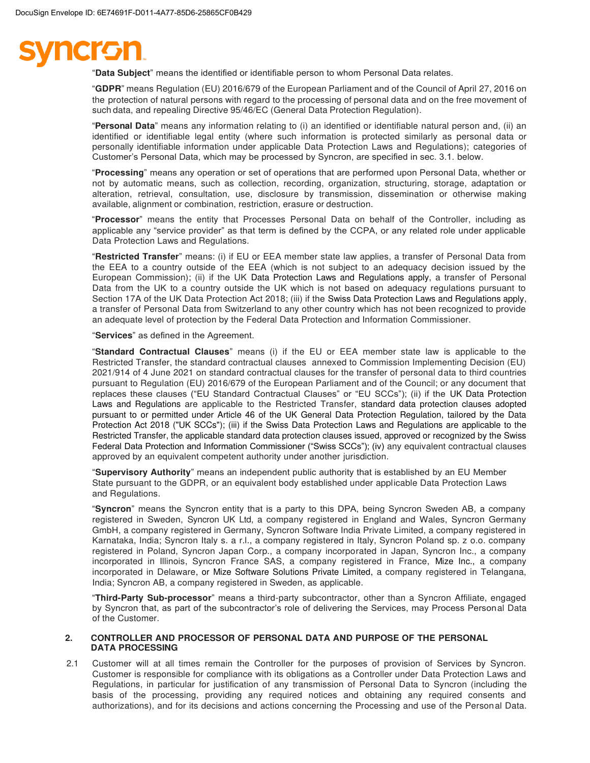# **syncron**

"**Data Subject**" means the identified or identifiable person to whom Personal Data relates.

"**GDPR**" means Regulation (EU) 2016/679 of the European Parliament and of the Council of April 27, 2016 on the protection of natural persons with regard to the processing of personal data and on the free movement of such data, and repealing Directive 95/46/EC (General Data Protection Regulation).

"**Personal Data**" means any information relating to (i) an identified or identifiable natural person and, (ii) an identified or identifiable legal entity (where such information is protected similarly as personal data or personally identifiable information under applicable Data Protection Laws and Regulations); categories of Customer's Personal Data, which may be processed by Syncron, are specified in sec. 3.1. below.

"**Processing**" means any operation or set of operations that are performed upon Personal Data, whether or not by automatic means, such as collection, recording, organization, structuring, storage, adaptation or alteration, retrieval, consultation, use, disclosure by transmission, dissemination or otherwise making available, alignment or combination, restriction, erasure or destruction.

"**Processor**" means the entity that Processes Personal Data on behalf of the Controller, including as applicable any "service provider" as that term is defined by the CCPA, or any related role under applicable Data Protection Laws and Regulations.

"**Restricted Transfer**" means: (i) if EU or EEA member state law applies, a transfer of Personal Data from the EEA to a country outside of the EEA (which is not subject to an adequacy decision issued by the European Commission); (ii) if the UK Data Protection Laws and Regulations apply, a transfer of Personal Data from the UK to a country outside the UK which is not based on adequacy regulations pursuant to Section 17A of the UK Data Protection Act 2018; (iii) if the Swiss Data Protection Laws and Regulations apply, a transfer of Personal Data from Switzerland to any other country which has not been recognized to provide an adequate level of protection by the Federal Data Protection and Information Commissioner.

"**Services**" as defined in the Agreement.

"**Standard Contractual Clauses**" means (i) if the EU or EEA member state law is applicable to the Restricted Transfer, the standard contractual clauses annexed to Commission Implementing Decision (EU) 2021/914 of 4 June 2021 on standard contractual clauses for the transfer of personal data to third countries pursuant to Regulation (EU) 2016/679 of the European Parliament and of the Council; or any document that replaces these clauses ("EU Standard Contractual Clauses" or "EU SCCs"); (ii) if the UK Data Protection Laws and Regulations are applicable to the Restricted Transfer, standard data protection clauses adopted pursuant to or permitted under Article 46 of the UK General Data Protection Regulation, tailored by the Data Protection Act 2018 ("UK SCCs"); (iii) if the Swiss Data Protection Laws and Regulations are applicable to the Restricted Transfer, the applicable standard data protection clauses issued, approved or recognized by the Swiss Federal Data Protection and Information Commissioner ("Swiss SCCs"); (iv) any equivalent contractual clauses approved by an equivalent competent authority under another jurisdiction.

"**Supervisory Authority**" means an independent public authority that is established by an EU Member State pursuant to the GDPR, or an equivalent body established under applicable Data Protection Laws and Regulations.

"**Syncron**" means the Syncron entity that is a party to this DPA, being Syncron Sweden AB, a company registered in Sweden, Syncron UK Ltd, a company registered in England and Wales, Syncron Germany GmbH, a company registered in Germany, Syncron Software India Private Limited, a company registered in Karnataka, India; Syncron Italy s. a r.l., a company registered in Italy, Syncron Poland sp. z o.o. company registered in Poland, Syncron Japan Corp., a company incorporated in Japan, Syncron Inc., a company incorporated in Illinois, Syncron France SAS, a company registered in France, Mize Inc., a company incorporated in Delaware, or Mize Software Solutions Private Limited, a company registered in Telangana, India; Syncron AB, a company registered in Sweden, as applicable.

"**Third-Party Sub-processor**" means a third-party subcontractor, other than a Syncron Affiliate, engaged by Syncron that, as part of the subcontractor's role of delivering the Services, may Process Personal Data of the Customer.

## **2. CONTROLLER AND PROCESSOR OF PERSONAL DATA AND PURPOSE OF THE PERSONAL DATA PROCESSING**

2.1 Customer will at all times remain the Controller for the purposes of provision of Services by Syncron. Customer is responsible for compliance with its obligations as a Controller under Data Protection Laws and Regulations, in particular for justification of any transmission of Personal Data to Syncron (including the basis of the processing, providing any required notices and obtaining any required consents and authorizations), and for its decisions and actions concerning the Processing and use of the Personal Data.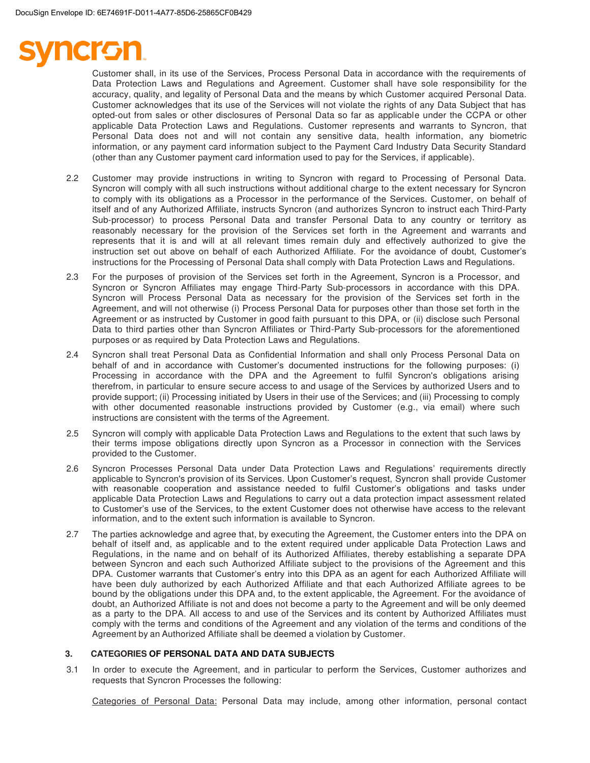

Customer shall, in its use of the Services, Process Personal Data in accordance with the requirements of Data Protection Laws and Regulations and Agreement. Customer shall have sole responsibility for the accuracy, quality, and legality of Personal Data and the means by which Customer acquired Personal Data. Customer acknowledges that its use of the Services will not violate the rights of any Data Subject that has opted-out from sales or other disclosures of Personal Data so far as applicable under the CCPA or other applicable Data Protection Laws and Regulations. Customer represents and warrants to Syncron, that Personal Data does not and will not contain any sensitive data, health information, any biometric information, or any payment card information subject to the Payment Card Industry Data Security Standard (other than any Customer payment card information used to pay for the Services, if applicable).

- 2.2 Customer may provide instructions in writing to Syncron with regard to Processing of Personal Data. Syncron will comply with all such instructions without additional charge to the extent necessary for Syncron to comply with its obligations as a Processor in the performance of the Services. Customer, on behalf of itself and of any Authorized Affiliate, instructs Syncron (and authorizes Syncron to instruct each Third-Party Sub-processor) to process Personal Data and transfer Personal Data to any country or territory as reasonably necessary for the provision of the Services set forth in the Agreement and warrants and represents that it is and will at all relevant times remain duly and effectively authorized to give the instruction set out above on behalf of each Authorized Affiliate. For the avoidance of doubt, Customer's instructions for the Processing of Personal Data shall comply with Data Protection Laws and Regulations.
- 2.3 For the purposes of provision of the Services set forth in the Agreement, Syncron is a Processor, and Syncron or Syncron Affiliates may engage Third-Party Sub-processors in accordance with this DPA. Syncron will Process Personal Data as necessary for the provision of the Services set forth in the Agreement, and will not otherwise (i) Process Personal Data for purposes other than those set forth in the Agreement or as instructed by Customer in good faith pursuant to this DPA, or (ii) disclose such Personal Data to third parties other than Syncron Affiliates or Third-Party Sub-processors for the aforementioned purposes or as required by Data Protection Laws and Regulations.
- 2.4 Syncron shall treat Personal Data as Confidential Information and shall only Process Personal Data on behalf of and in accordance with Customer's documented instructions for the following purposes: (i) Processing in accordance with the DPA and the Agreement to fulfil Syncron's obligations arising therefrom, in particular to ensure secure access to and usage of the Services by authorized Users and to provide support; (ii) Processing initiated by Users in their use of the Services; and (iii) Processing to comply with other documented reasonable instructions provided by Customer (e.g., via email) where such instructions are consistent with the terms of the Agreement.
- 2.5 Syncron will comply with applicable Data Protection Laws and Regulations to the extent that such laws by their terms impose obligations directly upon Syncron as a Processor in connection with the Services provided to the Customer.
- 2.6 Syncron Processes Personal Data under Data Protection Laws and Regulations' requirements directly applicable to Syncron's provision of its Services. Upon Customer's request, Syncron shall provide Customer with reasonable cooperation and assistance needed to fulfil Customer's obligations and tasks under applicable Data Protection Laws and Regulations to carry out a data protection impact assessment related to Customer's use of the Services, to the extent Customer does not otherwise have access to the relevant information, and to the extent such information is available to Syncron.
- 2.7 The parties acknowledge and agree that, by executing the Agreement, the Customer enters into the DPA on behalf of itself and, as applicable and to the extent required under applicable Data Protection Laws and Regulations, in the name and on behalf of its Authorized Affiliates, thereby establishing a separate DPA between Syncron and each such Authorized Affiliate subject to the provisions of the Agreement and this DPA. Customer warrants that Customer's entry into this DPA as an agent for each Authorized Affiliate will have been duly authorized by each Authorized Affiliate and that each Authorized Affiliate agrees to be bound by the obligations under this DPA and, to the extent applicable, the Agreement. For the avoidance of doubt, an Authorized Affiliate is not and does not become a party to the Agreement and will be only deemed as a party to the DPA. All access to and use of the Services and its content by Authorized Affiliates must comply with the terms and conditions of the Agreement and any violation of the terms and conditions of the Agreement by an Authorized Affiliate shall be deemed a violation by Customer.

# **3. CATEGORIES OF PERSONAL DATA AND DATA SUBJECTS**

3.1 In order to execute the Agreement, and in particular to perform the Services, Customer authorizes and requests that Syncron Processes the following:

Categories of Personal Data: Personal Data may include, among other information, personal contact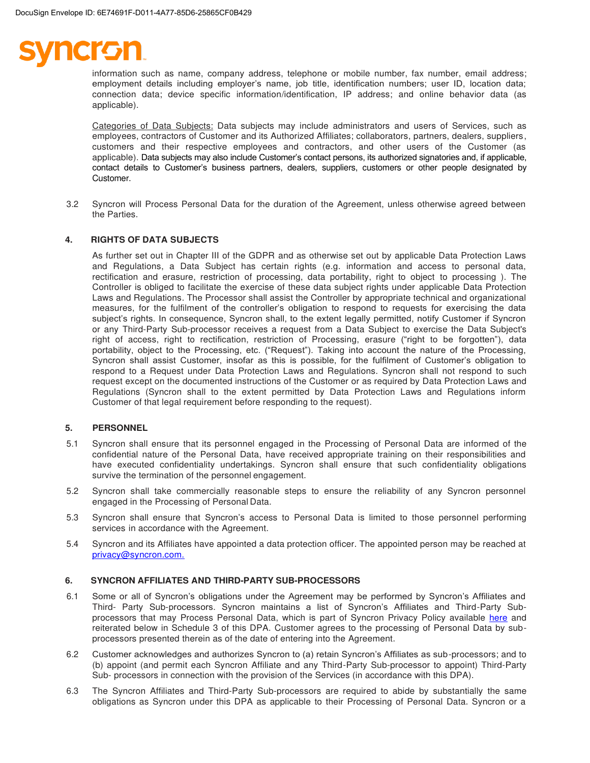

information such as name, company address, telephone or mobile number, fax number, email address; employment details including employer's name, job title, identification numbers; user ID, location data; connection data; device specific information/identification, IP address; and online behavior data (as applicable).

Categories of Data Subjects: Data subjects may include administrators and users of Services, such as employees, contractors of Customer and its Authorized Affiliates; collaborators, partners, dealers, suppliers, customers and their respective employees and contractors, and other users of the Customer (as applicable). Data subjects may also include Customer's contact persons, its authorized signatories and, if applicable, contact details to Customer's business partners, dealers, suppliers, customers or other people designated by Customer.

3.2 Syncron will Process Personal Data for the duration of the Agreement, unless otherwise agreed between the Parties.

## **4. RIGHTS OF DATA SUBJECTS**

As further set out in Chapter III of the GDPR and as otherwise set out by applicable Data Protection Laws and Regulations, a Data Subject has certain rights (e.g. information and access to personal data, rectification and erasure, restriction of processing, data portability, right to object to processing ). The Controller is obliged to facilitate the exercise of these data subject rights under applicable Data Protection Laws and Regulations. The Processor shall assist the Controller by appropriate technical and organizational measures, for the fulfilment of the controller's obligation to respond to requests for exercising the data subject's rights. In consequence, Syncron shall, to the extent legally permitted, notify Customer if Syncron or any Third-Party Sub-processor receives a request from a Data Subject to exercise the Data Subject's right of access, right to rectification, restriction of Processing, erasure ("right to be forgotten"), data portability, object to the Processing, etc. ("Request"). Taking into account the nature of the Processing, Syncron shall assist Customer, insofar as this is possible, for the fulfilment of Customer's obligation to respond to a Request under Data Protection Laws and Regulations. Syncron shall not respond to such request except on the documented instructions of the Customer or as required by Data Protection Laws and Regulations (Syncron shall to the extent permitted by Data Protection Laws and Regulations inform Customer of that legal requirement before responding to the request).

# **5. PERSONNEL**

- 5.1 Syncron shall ensure that its personnel engaged in the Processing of Personal Data are informed of the confidential nature of the Personal Data, have received appropriate training on their responsibilities and have executed confidentiality undertakings. Syncron shall ensure that such confidentiality obligations survive the termination of the personnel engagement.
- 5.2 Syncron shall take commercially reasonable steps to ensure the reliability of any Syncron personnel engaged in the Processing of Personal Data.
- 5.3 Syncron shall ensure that Syncron's access to Personal Data is limited to those personnel performing services in accordance with the Agreement.
- 5.4 Syncron and its Affiliates have appointed a data protection officer. The appointed person may be reached a[t](mailto:privacy@syncron.com) [privacy@syncron.com.](mailto:privacy@syncron.com)

## **6. SYNCRON AFFILIATES AND THIRD-PARTY SUB-PROCESSORS**

- 6.1 Some or all of Syncron's obligations under the Agreement may be performed by Syncron's Affiliates and Third- Party Sub-processors. Syncron maintains a list of Syncron's Affiliates and Third-Party Subprocessors that may Process Personal Data, which is part of Syncron Privacy Policy available [here](https://syncroninternationalab.sharepoint.com/legal/Shared%20Documents/Data%20Privacy/Data%20Processing%20Addenda%20(Customers)/SaaS/Online%20DPA%20(USE%20THIS%20ONE)/Version%2003.12.2020/syncron.com/privacy) and reiterated below in Schedule 3 of this DPA. Customer agrees to the processing of Personal Data by subprocessors presented therein as of the date of entering into the Agreement.
- 6.2 Customer acknowledges and authorizes Syncron to (a) retain Syncron's Affiliates as sub-processors; and to (b) appoint (and permit each Syncron Affiliate and any Third-Party Sub-processor to appoint) Third-Party Sub- processors in connection with the provision of the Services (in accordance with this DPA).
- 6.3 The Syncron Affiliates and Third-Party Sub-processors are required to abide by substantially the same obligations as Syncron under this DPA as applicable to their Processing of Personal Data. Syncron or a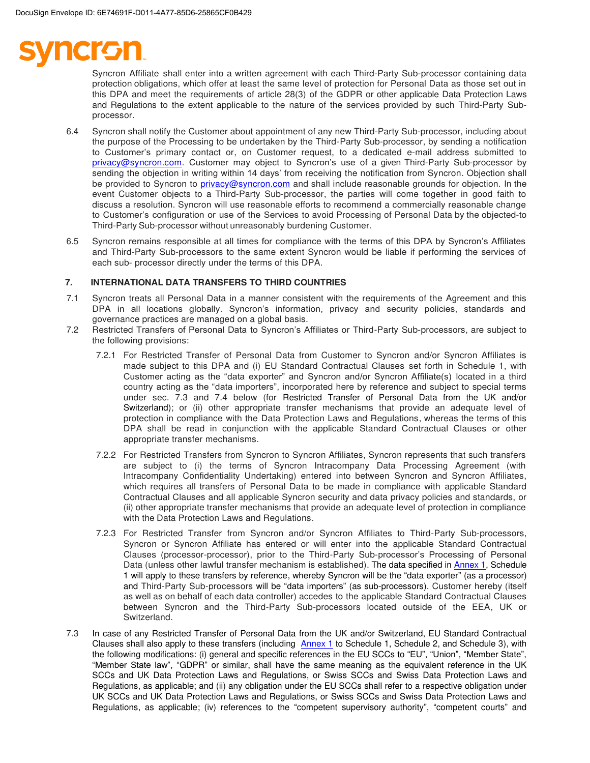

Syncron Affiliate shall enter into a written agreement with each Third-Party Sub-processor containing data protection obligations, which offer at least the same level of protection for Personal Data as those set out in this DPA and meet the requirements of article 28(3) of the GDPR or other applicable Data Protection Laws and Regulations to the extent applicable to the nature of the services provided by such Third-Party Subprocessor.

- 6.4 Syncron shall notify the Customer about appointment of any new Third-Party Sub-processor, including about the purpose of the Processing to be undertaken by the Third-Party Sub-processor, by sending a notification to Customer's primary contact or, on Customer request, to a dedicated e-mail address submitted to [privacy@syncron.com.](mailto:privacy@syncron.com) Customer may object to Syncron's use of a given Third-Party Sub-processor by sending the objection in writing within 14 days' from receiving the notification from Syncron. Objection shall be provided to Syncron to *privacy@syncron.com* and shall include reasonable grounds for objection. In the event Customer objects to a Third-Party Sub-processor, the parties will come together in good faith to discuss a resolution. Syncron will use reasonable efforts to recommend a commercially reasonable change to Customer's configuration or use of the Services to avoid Processing of Personal Data by the objected-to Third-Party Sub-processor without unreasonably burdening Customer.
- 6.5 Syncron remains responsible at all times for compliance with the terms of this DPA by Syncron's Affiliates and Third-Party Sub-processors to the same extent Syncron would be liable if performing the services of each sub- processor directly under the terms of this DPA.

# **7. INTERNATIONAL DATA TRANSFERS TO THIRD COUNTRIES**

- 7.1 Syncron treats all Personal Data in a manner consistent with the requirements of the Agreement and this DPA in all locations globally. Syncron's information, privacy and security policies, standards and governance practices are managed on a global basis.
- 7.2 Restricted Transfers of Personal Data to Syncron's Affiliates or Third-Party Sub-processors, are subject to the following provisions:
	- 7.2.1 For Restricted Transfer of Personal Data from Customer to Syncron and/or Syncron Affiliates is made subject to this DPA and (i) EU Standard Contractual Clauses set forth in Schedule 1, with Customer acting as the "data exporter" and Syncron and/or Syncron Affiliate(s) located in a third country acting as the "data importers", incorporated here by reference and subject to special terms under sec. 7.3 and 7.4 below (for Restricted Transfer of Personal Data from the UK and/or Switzerland); or (ii) other appropriate transfer mechanisms that provide an adequate level of protection in compliance with the Data Protection Laws and Regulations, whereas the terms of this DPA shall be read in conjunction with the applicable Standard Contractual Clauses or other appropriate transfer mechanisms.
	- 7.2.2 For Restricted Transfers from Syncron to Syncron Affiliates, Syncron represents that such transfers are subject to (i) the terms of Syncron Intracompany Data Processing Agreement (with Intracompany Confidentiality Undertaking) entered into between Syncron and Syncron Affiliates, which requires all transfers of Personal Data to be made in compliance with applicable Standard Contractual Clauses and all applicable Syncron security and data privacy policies and standards, or (ii) other appropriate transfer mechanisms that provide an adequate level of protection in compliance with the Data Protection Laws and Regulations.
	- 7.2.3 For Restricted Transfer from Syncron and/or Syncron Affiliates to Third-Party Sub-processors, Syncron or Syncron Affiliate has entered or will enter into the applicable Standard Contractual Clauses (processor-processor), prior to the Third-Party Sub-processor's Processing of Personal Data (unless other lawful transfer mechanism is established). The data specified in [Annex 1,](#page-17-0) Schedule 1 will apply to these transfers by reference, whereby Syncron will be the "data exporter" (as a processor) and Third-Party Sub-processors will be "data importers" (as sub-processors). Customer hereby (itself as well as on behalf of each data controller) accedes to the applicable Standard Contractual Clauses between Syncron and the Third-Party Sub-processors located outside of the EEA, UK or Switzerland.
- 7.3 In case of any Restricted Transfer of Personal Data from the UK and/or Switzerland, EU Standard Contractual Clauses shall also apply to these transfers (including Annex 1 to Schedule 1, Schedule 2, and Schedule 3), with the following modifications: (i) general and specific references in the EU SCCs to "EU", "Union", "Member State", "Member State law", "GDPR" or similar, shall have the same meaning as the equivalent reference in the UK SCCs and UK Data Protection Laws and Regulations, or Swiss SCCs and Swiss Data Protection Laws and Regulations, as applicable; and (ii) any obligation under the EU SCCs shall refer to a respective obligation under UK SCCs and UK Data Protection Laws and Regulations, or Swiss SCCs and Swiss Data Protection Laws and Regulations, as applicable; (iv) references to the "competent supervisory authority", "competent courts" and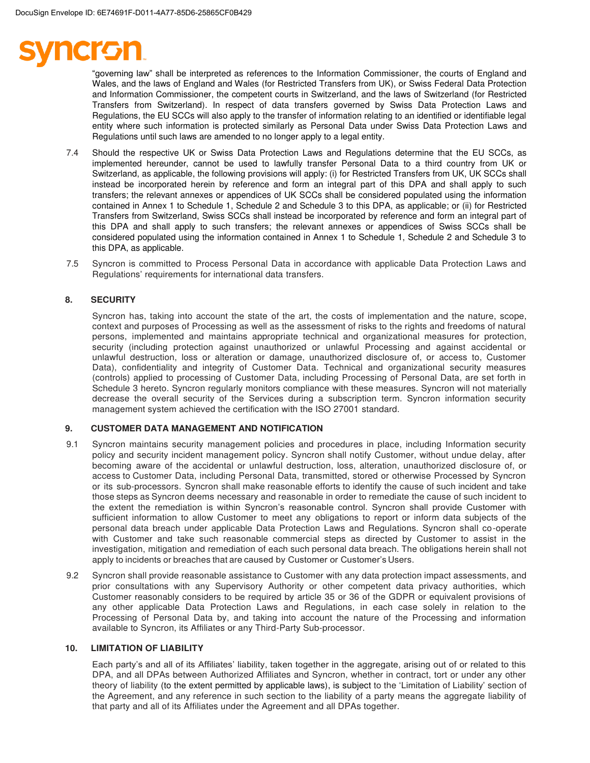# **syncrsn**

"governing law" shall be interpreted as references to the Information Commissioner, the courts of England and Wales, and the laws of England and Wales (for Restricted Transfers from UK), or Swiss Federal Data Protection and Information Commissioner, the competent courts in Switzerland, and the laws of Switzerland (for Restricted Transfers from Switzerland). In respect of data transfers governed by Swiss Data Protection Laws and Regulations, the EU SCCs will also apply to the transfer of information relating to an identified or identifiable legal entity where such information is protected similarly as Personal Data under Swiss Data Protection Laws and Regulations until such laws are amended to no longer apply to a legal entity.

- 7.4 Should the respective UK or Swiss Data Protection Laws and Regulations determine that the EU SCCs, as implemented hereunder, cannot be used to lawfully transfer Personal Data to a third country from UK or Switzerland, as applicable, the following provisions will apply: (i) for Restricted Transfers from UK, UK SCCs shall instead be incorporated herein by reference and form an integral part of this DPA and shall apply to such transfers; the relevant annexes or appendices of UK SCCs shall be considered populated using the information contained in Annex 1 to Schedule 1, Schedule 2 and Schedule 3 to this DPA, as applicable; or (ii) for Restricted Transfers from Switzerland, Swiss SCCs shall instead be incorporated by reference and form an integral part of this DPA and shall apply to such transfers; the relevant annexes or appendices of Swiss SCCs shall be considered populated using the information contained in Annex 1 to Schedule 1, Schedule 2 and Schedule 3 to this DPA, as applicable.
- 7.5 Syncron is committed to Process Personal Data in accordance with applicable Data Protection Laws and Regulations' requirements for international data transfers.

# **8. SECURITY**

Syncron has, taking into account the state of the art, the costs of implementation and the nature, scope, context and purposes of Processing as well as the assessment of risks to the rights and freedoms of natural persons, implemented and maintains appropriate technical and organizational measures for protection, security (including protection against unauthorized or unlawful Processing and against accidental or unlawful destruction, loss or alteration or damage, unauthorized disclosure of, or access to, Customer Data), confidentiality and integrity of Customer Data. Technical and organizational security measures (controls) applied to processing of Customer Data, including Processing of Personal Data, are set forth in Schedule 3 hereto. Syncron regularly monitors compliance with these measures. Syncron will not materially decrease the overall security of the Services during a subscription term. Syncron information security management system achieved the certification with the ISO 27001 standard.

# **9. CUSTOMER DATA MANAGEMENT AND NOTIFICATION**

- 9.1 Syncron maintains security management policies and procedures in place, including Information security policy and security incident management policy. Syncron shall notify Customer, without undue delay, after becoming aware of the accidental or unlawful destruction, loss, alteration, unauthorized disclosure of, or access to Customer Data, including Personal Data, transmitted, stored or otherwise Processed by Syncron or its sub-processors. Syncron shall make reasonable efforts to identify the cause of such incident and take those steps as Syncron deems necessary and reasonable in order to remediate the cause of such incident to the extent the remediation is within Syncron's reasonable control. Syncron shall provide Customer with sufficient information to allow Customer to meet any obligations to report or inform data subjects of the personal data breach under applicable Data Protection Laws and Regulations. Syncron shall co-operate with Customer and take such reasonable commercial steps as directed by Customer to assist in the investigation, mitigation and remediation of each such personal data breach. The obligations herein shall not apply to incidents or breaches that are caused by Customer or Customer's Users.
- 9.2 Syncron shall provide reasonable assistance to Customer with any data protection impact assessments, and prior consultations with any Supervisory Authority or other competent data privacy authorities, which Customer reasonably considers to be required by article 35 or 36 of the GDPR or equivalent provisions of any other applicable Data Protection Laws and Regulations, in each case solely in relation to the Processing of Personal Data by, and taking into account the nature of the Processing and information available to Syncron, its Affiliates or any Third-Party Sub-processor.

# **10. LIMITATION OF LIABILITY**

Each party's and all of its Affiliates' liability, taken together in the aggregate, arising out of or related to this DPA, and all DPAs between Authorized Affiliates and Syncron, whether in contract, tort or under any other theory of liability (to the extent permitted by applicable laws), is subject to the 'Limitation of Liability' section of the Agreement, and any reference in such section to the liability of a party means the aggregate liability of that party and all of its Affiliates under the Agreement and all DPAs together.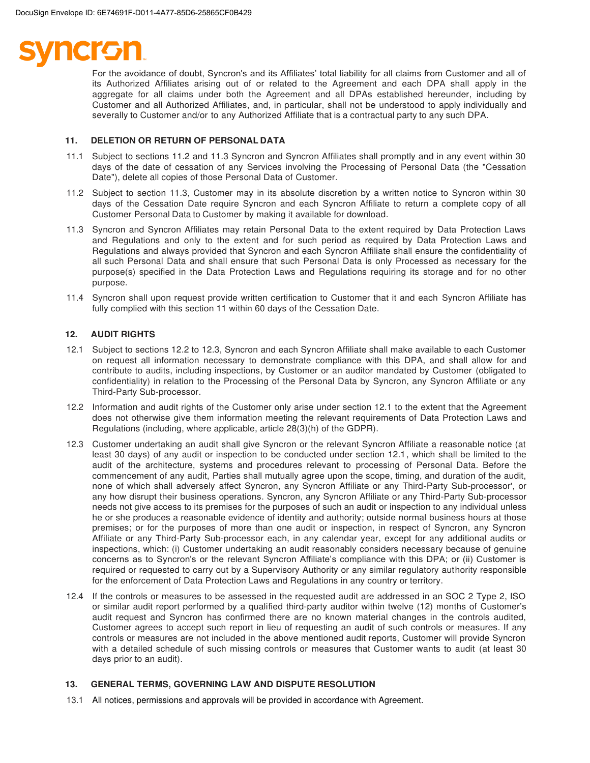

For the avoidance of doubt, Syncron's and its Affiliates' total liability for all claims from Customer and all of its Authorized Affiliates arising out of or related to the Agreement and each DPA shall apply in the aggregate for all claims under both the Agreement and all DPAs established hereunder, including by Customer and all Authorized Affiliates, and, in particular, shall not be understood to apply individually and severally to Customer and/or to any Authorized Affiliate that is a contractual party to any such DPA.

# **11. DELETION OR RETURN OF PERSONAL DATA**

- 11.1 Subject to sections 11.2 and 11.3 Syncron and Syncron Affiliates shall promptly and in any event within 30 days of the date of cessation of any Services involving the Processing of Personal Data (the "Cessation Date"), delete all copies of those Personal Data of Customer.
- 11.2 Subject to section 11.3, Customer may in its absolute discretion by a written notice to Syncron within 30 days of the Cessation Date require Syncron and each Syncron Affiliate to return a complete copy of all Customer Personal Data to Customer by making it available for download.
- 11.3 Syncron and Syncron Affiliates may retain Personal Data to the extent required by Data Protection Laws and Regulations and only to the extent and for such period as required by Data Protection Laws and Regulations and always provided that Syncron and each Syncron Affiliate shall ensure the confidentiality of all such Personal Data and shall ensure that such Personal Data is only Processed as necessary for the purpose(s) specified in the Data Protection Laws and Regulations requiring its storage and for no other purpose.
- 11.4 Syncron shall upon request provide written certification to Customer that it and each Syncron Affiliate has fully complied with this section 11 within 60 days of the Cessation Date.

# **12. AUDIT RIGHTS**

- 12.1 Subject to sections 12.2 to 12.3, Syncron and each Syncron Affiliate shall make available to each Customer on request all information necessary to demonstrate compliance with this DPA, and shall allow for and contribute to audits, including inspections, by Customer or an auditor mandated by Customer (obligated to confidentiality) in relation to the Processing of the Personal Data by Syncron, any Syncron Affiliate or any Third-Party Sub-processor.
- 12.2 Information and audit rights of the Customer only arise under section 12.1 to the extent that the Agreement does not otherwise give them information meeting the relevant requirements of Data Protection Laws and Regulations (including, where applicable, article 28(3)(h) of the GDPR).
- 12.3 Customer undertaking an audit shall give Syncron or the relevant Syncron Affiliate a reasonable notice (at least 30 days) of any audit or inspection to be conducted under section 12.1, which shall be limited to the audit of the architecture, systems and procedures relevant to processing of Personal Data. Before the commencement of any audit, Parties shall mutually agree upon the scope, timing, and duration of the audit, none of which shall adversely affect Syncron, any Syncron Affiliate or any Third-Party Sub-processor', or any how disrupt their business operations. Syncron, any Syncron Affiliate or any Third-Party Sub-processor needs not give access to its premises for the purposes of such an audit or inspection to any individual unless he or she produces a reasonable evidence of identity and authority; outside normal business hours at those premises; or for the purposes of more than one audit or inspection, in respect of Syncron, any Syncron Affiliate or any Third-Party Sub-processor each, in any calendar year, except for any additional audits or inspections, which: (i) Customer undertaking an audit reasonably considers necessary because of genuine concerns as to Syncron's or the relevant Syncron Affiliate's compliance with this DPA; or (ii) Customer is required or requested to carry out by a Supervisory Authority or any similar regulatory authority responsible for the enforcement of Data Protection Laws and Regulations in any country or territory.
- 12.4 If the controls or measures to be assessed in the requested audit are addressed in an SOC 2 Type 2, ISO or similar audit report performed by a qualified third-party auditor within twelve (12) months of Customer's audit request and Syncron has confirmed there are no known material changes in the controls audited, Customer agrees to accept such report in lieu of requesting an audit of such controls or measures. If any controls or measures are not included in the above mentioned audit reports, Customer will provide Syncron with a detailed schedule of such missing controls or measures that Customer wants to audit (at least 30 days prior to an audit).

# **13. GENERAL TERMS, GOVERNING LAW AND DISPUTE RESOLUTION**

13.1 All notices, permissions and approvals will be provided in accordance with Agreement.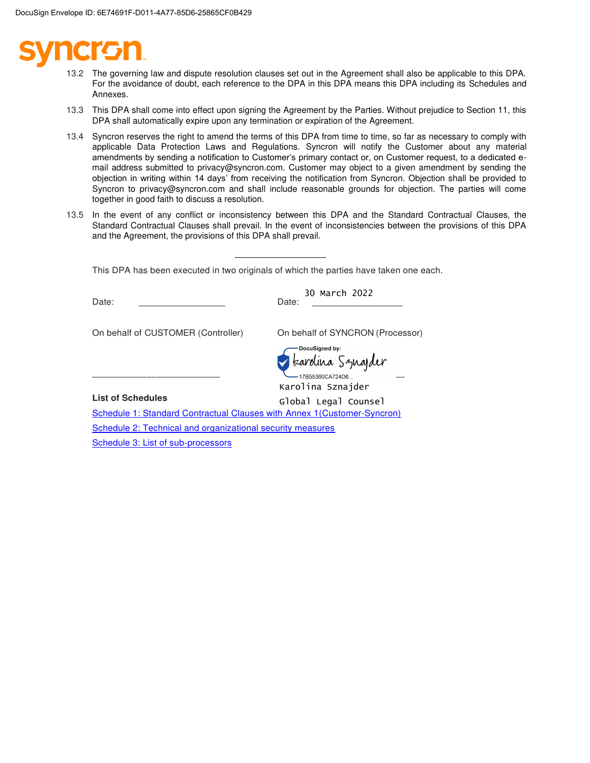

- 13.2 The governing law and dispute resolution clauses set out in the Agreement shall also be applicable to this DPA. For the avoidance of doubt, each reference to the DPA in this DPA means this DPA including its Schedules and Annexes.
- 13.3 This DPA shall come into effect upon signing the Agreement by the Parties. Without prejudice to Section 11, this DPA shall automatically expire upon any termination or expiration of the Agreement.
- 13.4 Syncron reserves the right to amend the terms of this DPA from time to time, so far as necessary to comply with applicable Data Protection Laws and Regulations. Syncron will notify the Customer about any material amendments by sending a notification to Customer's primary contact or, on Customer request, to a dedicated email address submitted to privacy@syncron.com. Customer may object to a given amendment by sending the objection in writing within 14 days' from receiving the notification from Syncron. Objection shall be provided to Syncron to privacy@syncron.com and shall include reasonable grounds for objection. The parties will come together in good faith to discuss a resolution.
- 13.5 In the event of any conflict or inconsistency between this DPA and the Standard Contractual Clauses, the Standard Contractual Clauses shall prevail. In the event of inconsistencies between the provisions of this DPA and the Agreement, the provisions of this DPA shall prevail.

This DPA has been executed in two originals of which the parties have taken one each.

| Date:                                                                           | 30 March 2022<br>Date:                                                    |
|---------------------------------------------------------------------------------|---------------------------------------------------------------------------|
| On behalf of CUSTOMER (Controller)                                              | On behalf of SYNCRON (Processor)                                          |
|                                                                                 | DocuSigned by:<br>Fardina Syngder<br>17B55360CA724D6<br>Karolina Sznajder |
| <b>List of Schedules</b>                                                        | Global Legal Counsel                                                      |
| <b>Schedule 1: Standard Contractual Clauses with Annex 1 (Customer-Syncron)</b> |                                                                           |
| Schedule 2: Technical and organizational security measures                      |                                                                           |

Schedule 3: List of sub-processors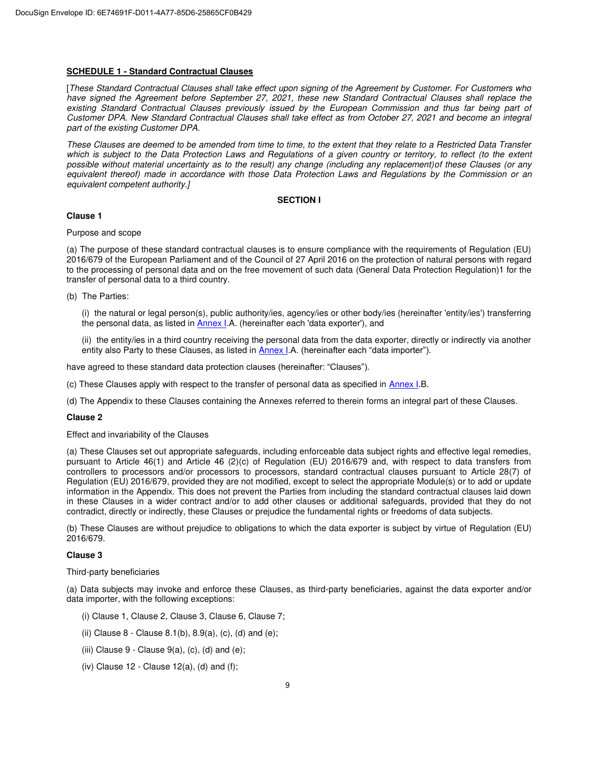#### <span id="page-8-0"></span>**SCHEDULE 1 - Standard Contractual Clauses**

[These Standard Contractual Clauses shall take effect upon signing of the Agreement by Customer. For Customers who have signed the Agreement before September 27, 2021, these new Standard Contractual Clauses shall replace the existing Standard Contractual Clauses previously issued by the European Commission and thus far being part of Customer DPA. New Standard Contractual Clauses shall take effect as from October 27, 2021 and become an integral part of the existing Customer DPA.

These Clauses are deemed to be amended from time to time, to the extent that they relate to a Restricted Data Transfer which is subject to the Data Protection Laws and Regulations of a given country or territory, to reflect (to the extent possible without material uncertainty as to the result) any change (including any replacement)of these Clauses (or any equivalent thereof) made in accordance with those Data Protection Laws and Regulations by the Commission or an equivalent competent authority.]

#### **SECTION I**

## **Clause 1**

#### Purpose and scope

(a) The purpose of these standard contractual clauses is to ensure compliance with the requirements of Regulation (EU) 2016/679 of the European Parliament and of the Council of 27 April 2016 on the protection of natural persons with regard to the processing of personal data and on the free movement of such data (General Data Protection Regulation)1 for the transfer of personal data to a third country.

(b) The Parties:

(i) the natural or legal person(s), public authority/ies, agency/ies or other body/ies (hereinafter 'entity/ies') transferring the personal data, as listed in **Annex I.A.** (hereinafter each 'data exporter'), and

(ii) the entity/ies in a third country receiving the personal data from the data exporter, directly or indirectly via another entity also Party to these Clauses, as listed in **Annex I.A.** (hereinafter each "data importer").

have agreed to these standard data protection clauses (hereinafter: "Clauses").

(c) These Clauses apply with respect to the transfer of personal data as specified in [Annex I.B](#page-15-0).

(d) The Appendix to these Clauses containing the Annexes referred to therein forms an integral part of these Clauses.

#### **Clause 2**

Effect and invariability of the Clauses

(a) These Clauses set out appropriate safeguards, including enforceable data subject rights and effective legal remedies, pursuant to Article 46(1) and Article 46 (2)(c) of Regulation (EU) 2016/679 and, with respect to data transfers from controllers to processors and/or processors to processors, standard contractual clauses pursuant to Article 28(7) of Regulation (EU) 2016/679, provided they are not modified, except to select the appropriate Module(s) or to add or update information in the Appendix. This does not prevent the Parties from including the standard contractual clauses laid down in these Clauses in a wider contract and/or to add other clauses or additional safeguards, provided that they do not contradict, directly or indirectly, these Clauses or prejudice the fundamental rights or freedoms of data subjects.

(b) These Clauses are without prejudice to obligations to which the data exporter is subject by virtue of Regulation (EU) 2016/679.

#### **Clause 3**

#### Third-party beneficiaries

(a) Data subjects may invoke and enforce these Clauses, as third-party beneficiaries, against the data exporter and/or data importer, with the following exceptions:

- (i) Clause 1, Clause 2, Clause 3, Clause 6, Clause 7;
- (ii) Clause  $8 -$  Clause  $8.1(b)$ ,  $8.9(a)$ ,  $(c)$ ,  $(d)$  and  $(e)$ ;
- (iii) Clause  $9$  Clause  $9(a)$ ,  $(c)$ ,  $(d)$  and  $(e)$ ;
- (iv) Clause  $12 -$  Clause  $12(a)$ , (d) and (f);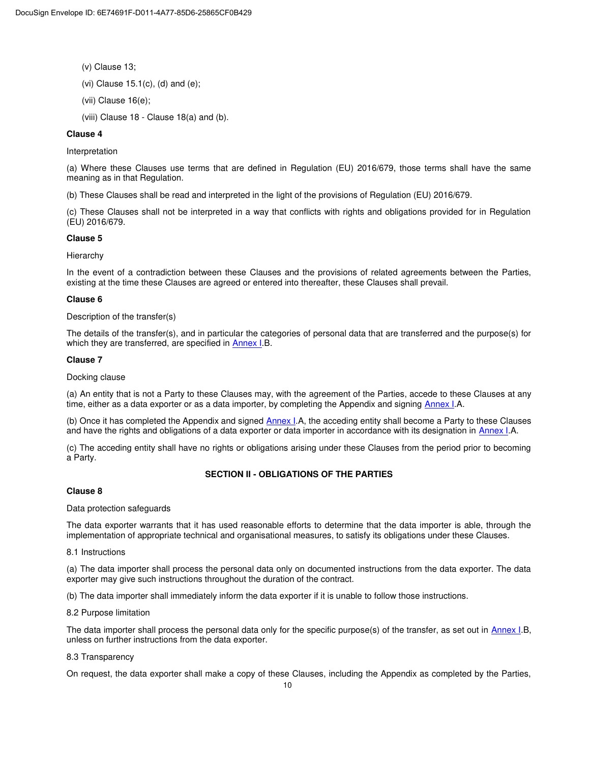- (v) Clause 13;
- (vi) Clause 15.1(c), (d) and (e);
- (vii) Clause 16(e);
- (viii) Clause 18 Clause 18(a) and (b).

#### **Clause 4**

Interpretation

(a) Where these Clauses use terms that are defined in Regulation (EU) 2016/679, those terms shall have the same meaning as in that Regulation.

(b) These Clauses shall be read and interpreted in the light of the provisions of Regulation (EU) 2016/679.

(c) These Clauses shall not be interpreted in a way that conflicts with rights and obligations provided for in Regulation (EU) 2016/679.

#### **Clause 5**

Hierarchy

In the event of a contradiction between these Clauses and the provisions of related agreements between the Parties, existing at the time these Clauses are agreed or entered into thereafter, these Clauses shall prevail.

#### **Clause 6**

Description of the transfer(s)

The details of the transfer(s), and in particular the categories of personal data that are transferred and the purpose(s) for which they are transferred, are specified in [Annex I.](#page-15-0)B.

#### **Clause 7**

Docking clause

(a) An entity that is not a Party to these Clauses may, with the agreement of the Parties, accede to these Clauses at any time, either as a data exporter or as a data importer, by completing the Appendix and signing [Annex I.A](#page-15-0).

(b) Once it has completed the Appendix and signed **Annex I.A**, the acceding entity shall become a Party to these Clauses and have the rights and obligations of a data exporter or data importer in accordance with its designation in [Annex I.](#page-15-0)A.

(c) The acceding entity shall have no rights or obligations arising under these Clauses from the period prior to becoming a Party.

#### **SECTION II - OBLIGATIONS OF THE PARTIES**

#### **Clause 8**

#### Data protection safeguards

The data exporter warrants that it has used reasonable efforts to determine that the data importer is able, through the implementation of appropriate technical and organisational measures, to satisfy its obligations under these Clauses.

8.1 Instructions

(a) The data importer shall process the personal data only on documented instructions from the data exporter. The data exporter may give such instructions throughout the duration of the contract.

(b) The data importer shall immediately inform the data exporter if it is unable to follow those instructions.

#### 8.2 Purpose limitation

The data importer shall process the personal data only for the specific purpose(s) of the transfer, as set out in [Annex I.](#page-15-0)B, unless on further instructions from the data exporter.

# 8.3 Transparency

On request, the data exporter shall make a copy of these Clauses, including the Appendix as completed by the Parties,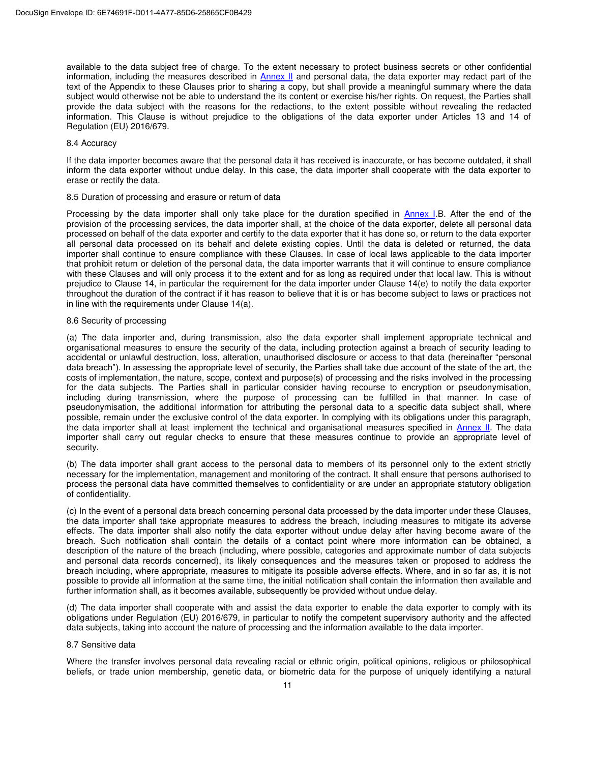available to the data subject free of charge. To the extent necessary to protect business secrets or other confidential information, including the measures described in Annex II and personal data, the data exporter may redact part of the text of the Appendix to these Clauses prior to sharing a copy, but shall provide a meaningful summary where the data subject would otherwise not be able to understand the its content or exercise his/her rights. On request, the Parties shall provide the data subject with the reasons for the redactions, to the extent possible without revealing the redacted information. This Clause is without prejudice to the obligations of the data exporter under Articles 13 and 14 of Regulation (EU) 2016/679.

#### 8.4 Accuracy

If the data importer becomes aware that the personal data it has received is inaccurate, or has become outdated, it shall inform the data exporter without undue delay. In this case, the data importer shall cooperate with the data exporter to erase or rectify the data.

#### 8.5 Duration of processing and erasure or return of data

Processing by the data importer shall only take place for the duration specified in **Annex I.B.** After the end of the provision of the processing services, the data importer shall, at the choice of the data exporter, delete all personal data processed on behalf of the data exporter and certify to the data exporter that it has done so, or return to the data exporter all personal data processed on its behalf and delete existing copies. Until the data is deleted or returned, the data importer shall continue to ensure compliance with these Clauses. In case of local laws applicable to the data importer that prohibit return or deletion of the personal data, the data importer warrants that it will continue to ensure compliance with these Clauses and will only process it to the extent and for as long as required under that local law. This is without prejudice to Clause 14, in particular the requirement for the data importer under Clause 14(e) to notify the data exporter throughout the duration of the contract if it has reason to believe that it is or has become subject to laws or practices not in line with the requirements under Clause 14(a).

#### 8.6 Security of processing

(a) The data importer and, during transmission, also the data exporter shall implement appropriate technical and organisational measures to ensure the security of the data, including protection against a breach of security leading to accidental or unlawful destruction, loss, alteration, unauthorised disclosure or access to that data (hereinafter "personal data breach"). In assessing the appropriate level of security, the Parties shall take due account of the state of the art, the costs of implementation, the nature, scope, context and purpose(s) of processing and the risks involved in the processing for the data subjects. The Parties shall in particular consider having recourse to encryption or pseudonymisation, including during transmission, where the purpose of processing can be fulfilled in that manner. In case of pseudonymisation, the additional information for attributing the personal data to a specific data subject shall, where possible, remain under the exclusive control of the data exporter. In complying with its obligations under this paragraph, the data importer shall at least implement the technical and organisational measures specified in Annex II. The data importer shall carry out regular checks to ensure that these measures continue to provide an appropriate level of security.

(b) The data importer shall grant access to the personal data to members of its personnel only to the extent strictly necessary for the implementation, management and monitoring of the contract. It shall ensure that persons authorised to process the personal data have committed themselves to confidentiality or are under an appropriate statutory obligation of confidentiality.

(c) In the event of a personal data breach concerning personal data processed by the data importer under these Clauses, the data importer shall take appropriate measures to address the breach, including measures to mitigate its adverse effects. The data importer shall also notify the data exporter without undue delay after having become aware of the breach. Such notification shall contain the details of a contact point where more information can be obtained, a description of the nature of the breach (including, where possible, categories and approximate number of data subjects and personal data records concerned), its likely consequences and the measures taken or proposed to address the breach including, where appropriate, measures to mitigate its possible adverse effects. Where, and in so far as, it is not possible to provide all information at the same time, the initial notification shall contain the information then available and further information shall, as it becomes available, subsequently be provided without undue delay.

(d) The data importer shall cooperate with and assist the data exporter to enable the data exporter to comply with its obligations under Regulation (EU) 2016/679, in particular to notify the competent supervisory authority and the affected data subjects, taking into account the nature of processing and the information available to the data importer.

#### 8.7 Sensitive data

Where the transfer involves personal data revealing racial or ethnic origin, political opinions, religious or philosophical beliefs, or trade union membership, genetic data, or biometric data for the purpose of uniquely identifying a natural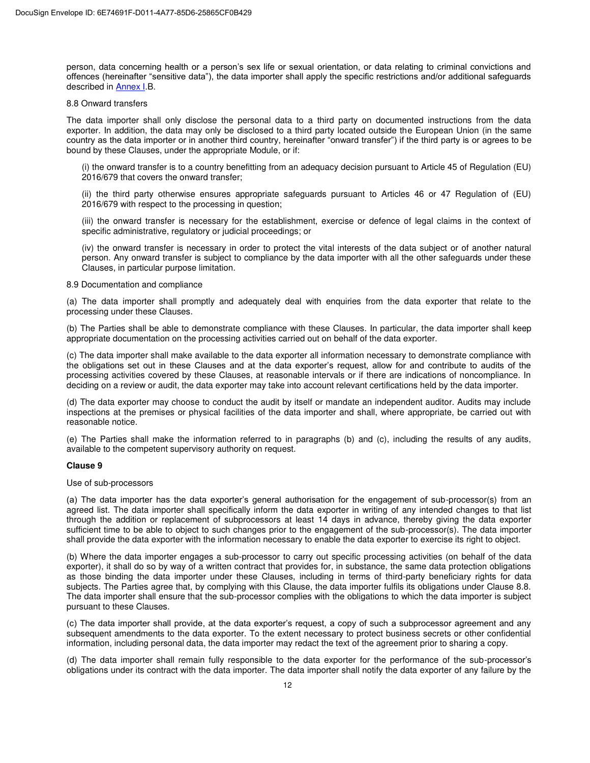person, data concerning health or a person's sex life or sexual orientation, or data relating to criminal convictions and offences (hereinafter "sensitive data"), the data importer shall apply the specific restrictions and/or additional safeguards described in [Annex I.](#page-15-0)B.

#### 8.8 Onward transfers

The data importer shall only disclose the personal data to a third party on documented instructions from the data exporter. In addition, the data may only be disclosed to a third party located outside the European Union (in the same country as the data importer or in another third country, hereinafter "onward transfer") if the third party is or agrees to be bound by these Clauses, under the appropriate Module, or if:

(i) the onward transfer is to a country benefitting from an adequacy decision pursuant to Article 45 of Regulation (EU) 2016/679 that covers the onward transfer;

(ii) the third party otherwise ensures appropriate safeguards pursuant to Articles 46 or 47 Regulation of (EU) 2016/679 with respect to the processing in question;

(iii) the onward transfer is necessary for the establishment, exercise or defence of legal claims in the context of specific administrative, regulatory or judicial proceedings; or

(iv) the onward transfer is necessary in order to protect the vital interests of the data subject or of another natural person. Any onward transfer is subject to compliance by the data importer with all the other safeguards under these Clauses, in particular purpose limitation.

#### 8.9 Documentation and compliance

(a) The data importer shall promptly and adequately deal with enquiries from the data exporter that relate to the processing under these Clauses.

(b) The Parties shall be able to demonstrate compliance with these Clauses. In particular, the data importer shall keep appropriate documentation on the processing activities carried out on behalf of the data exporter.

(c) The data importer shall make available to the data exporter all information necessary to demonstrate compliance with the obligations set out in these Clauses and at the data exporter's request, allow for and contribute to audits of the processing activities covered by these Clauses, at reasonable intervals or if there are indications of noncompliance. In deciding on a review or audit, the data exporter may take into account relevant certifications held by the data importer.

(d) The data exporter may choose to conduct the audit by itself or mandate an independent auditor. Audits may include inspections at the premises or physical facilities of the data importer and shall, where appropriate, be carried out with reasonable notice.

(e) The Parties shall make the information referred to in paragraphs (b) and (c), including the results of any audits, available to the competent supervisory authority on request.

#### **Clause 9**

#### Use of sub-processors

(a) The data importer has the data exporter's general authorisation for the engagement of sub-processor(s) from an agreed list. The data importer shall specifically inform the data exporter in writing of any intended changes to that list through the addition or replacement of subprocessors at least 14 days in advance, thereby giving the data exporter sufficient time to be able to object to such changes prior to the engagement of the sub-processor(s). The data importer shall provide the data exporter with the information necessary to enable the data exporter to exercise its right to object.

(b) Where the data importer engages a sub-processor to carry out specific processing activities (on behalf of the data exporter), it shall do so by way of a written contract that provides for, in substance, the same data protection obligations as those binding the data importer under these Clauses, including in terms of third-party beneficiary rights for data subjects. The Parties agree that, by complying with this Clause, the data importer fulfils its obligations under Clause 8.8. The data importer shall ensure that the sub-processor complies with the obligations to which the data importer is subject pursuant to these Clauses.

(c) The data importer shall provide, at the data exporter's request, a copy of such a subprocessor agreement and any subsequent amendments to the data exporter. To the extent necessary to protect business secrets or other confidential information, including personal data, the data importer may redact the text of the agreement prior to sharing a copy.

(d) The data importer shall remain fully responsible to the data exporter for the performance of the sub-processor's obligations under its contract with the data importer. The data importer shall notify the data exporter of any failure by the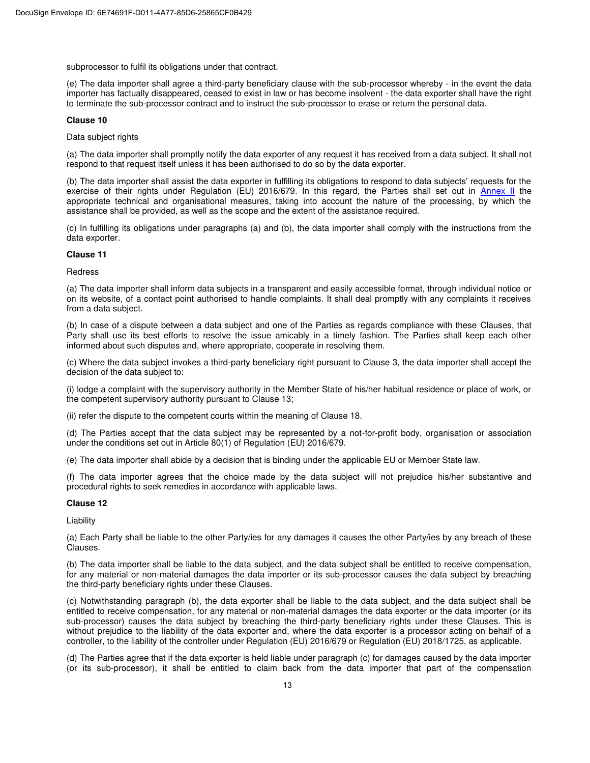subprocessor to fulfil its obligations under that contract.

(e) The data importer shall agree a third-party beneficiary clause with the sub-processor whereby - in the event the data importer has factually disappeared, ceased to exist in law or has become insolvent - the data exporter shall have the right to terminate the sub-processor contract and to instruct the sub-processor to erase or return the personal data.

#### **Clause 10**

Data subject rights

(a) The data importer shall promptly notify the data exporter of any request it has received from a data subject. It shall not respond to that request itself unless it has been authorised to do so by the data exporter.

(b) The data importer shall assist the data exporter in fulfilling its obligations to respond to data subjects' requests for the exercise of their rights under Regulation (EU) 2016/679. In this regard, the Parties shall set out in Annex II the appropriate technical and organisational measures, taking into account the nature of the processing, by which the assistance shall be provided, as well as the scope and the extent of the assistance required.

(c) In fulfilling its obligations under paragraphs (a) and (b), the data importer shall comply with the instructions from the data exporter.

# **Clause 11**

**Redress** 

(a) The data importer shall inform data subjects in a transparent and easily accessible format, through individual notice or on its website, of a contact point authorised to handle complaints. It shall deal promptly with any complaints it receives from a data subject.

(b) In case of a dispute between a data subject and one of the Parties as regards compliance with these Clauses, that Party shall use its best efforts to resolve the issue amicably in a timely fashion. The Parties shall keep each other informed about such disputes and, where appropriate, cooperate in resolving them.

(c) Where the data subject invokes a third-party beneficiary right pursuant to Clause 3, the data importer shall accept the decision of the data subject to:

(i) lodge a complaint with the supervisory authority in the Member State of his/her habitual residence or place of work, or the competent supervisory authority pursuant to Clause 13;

(ii) refer the dispute to the competent courts within the meaning of Clause 18.

(d) The Parties accept that the data subject may be represented by a not-for-profit body, organisation or association under the conditions set out in Article 80(1) of Regulation (EU) 2016/679.

(e) The data importer shall abide by a decision that is binding under the applicable EU or Member State law.

(f) The data importer agrees that the choice made by the data subject will not prejudice his/her substantive and procedural rights to seek remedies in accordance with applicable laws.

## **Clause 12**

Liability

(a) Each Party shall be liable to the other Party/ies for any damages it causes the other Party/ies by any breach of these Clauses.

(b) The data importer shall be liable to the data subject, and the data subject shall be entitled to receive compensation, for any material or non-material damages the data importer or its sub-processor causes the data subject by breaching the third-party beneficiary rights under these Clauses.

(c) Notwithstanding paragraph (b), the data exporter shall be liable to the data subject, and the data subject shall be entitled to receive compensation, for any material or non-material damages the data exporter or the data importer (or its sub-processor) causes the data subject by breaching the third-party beneficiary rights under these Clauses. This is without prejudice to the liability of the data exporter and, where the data exporter is a processor acting on behalf of a controller, to the liability of the controller under Regulation (EU) 2016/679 or Regulation (EU) 2018/1725, as applicable.

(d) The Parties agree that if the data exporter is held liable under paragraph (c) for damages caused by the data importer (or its sub-processor), it shall be entitled to claim back from the data importer that part of the compensation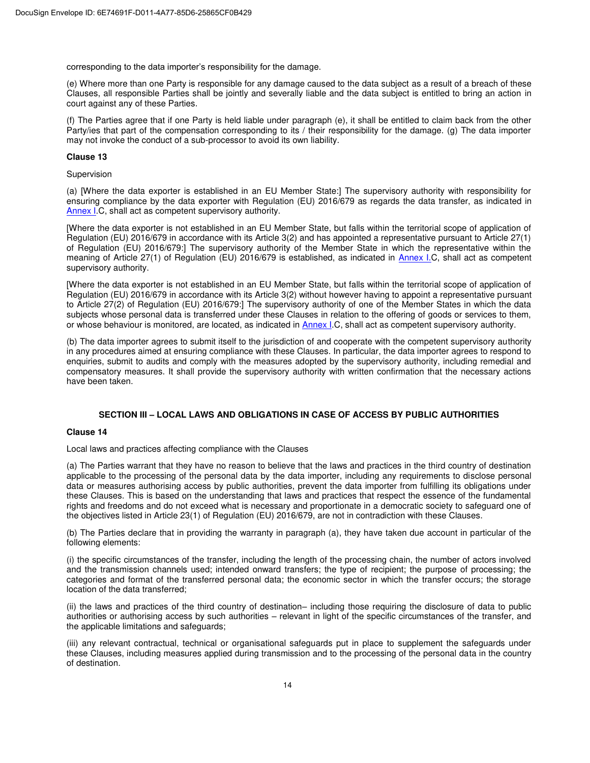corresponding to the data importer's responsibility for the damage.

(e) Where more than one Party is responsible for any damage caused to the data subject as a result of a breach of these Clauses, all responsible Parties shall be jointly and severally liable and the data subject is entitled to bring an action in court against any of these Parties.

(f) The Parties agree that if one Party is held liable under paragraph (e), it shall be entitled to claim back from the other Party/ies that part of the compensation corresponding to its / their responsibility for the damage. (g) The data importer may not invoke the conduct of a sub-processor to avoid its own liability.

#### **Clause 13**

Supervision

(a) [Where the data exporter is established in an EU Member State:] The supervisory authority with responsibility for ensuring compliance by the data exporter with Regulation (EU) 2016/679 as regards the data transfer, as indicated in [Annex I.](#page-15-0)C, shall act as competent supervisory authority.

[Where the data exporter is not established in an EU Member State, but falls within the territorial scope of application of Regulation (EU) 2016/679 in accordance with its Article 3(2) and has appointed a representative pursuant to Article 27(1) of Regulation (EU) 2016/679:] The supervisory authority of the Member State in which the representative within the meaning of Article 27(1) of Regulation (EU) 2016/679 is established, as indicated in [Annex I.C](#page-15-0), shall act as competent supervisory authority.

[Where the data exporter is not established in an EU Member State, but falls within the territorial scope of application of Regulation (EU) 2016/679 in accordance with its Article 3(2) without however having to appoint a representative pursuant to Article 27(2) of Regulation (EU) 2016/679:] The supervisory authority of one of the Member States in which the data subjects whose personal data is transferred under these Clauses in relation to the offering of goods or services to them, or whose behaviour is monitored, are located, as indicated in **Annex I.C**, shall act as competent supervisory authority.

(b) The data importer agrees to submit itself to the jurisdiction of and cooperate with the competent supervisory authority in any procedures aimed at ensuring compliance with these Clauses. In particular, the data importer agrees to respond to enquiries, submit to audits and comply with the measures adopted by the supervisory authority, including remedial and compensatory measures. It shall provide the supervisory authority with written confirmation that the necessary actions have been taken.

#### **SECTION III – LOCAL LAWS AND OBLIGATIONS IN CASE OF ACCESS BY PUBLIC AUTHORITIES**

#### **Clause 14**

Local laws and practices affecting compliance with the Clauses

(a) The Parties warrant that they have no reason to believe that the laws and practices in the third country of destination applicable to the processing of the personal data by the data importer, including any requirements to disclose personal data or measures authorising access by public authorities, prevent the data importer from fulfilling its obligations under these Clauses. This is based on the understanding that laws and practices that respect the essence of the fundamental rights and freedoms and do not exceed what is necessary and proportionate in a democratic society to safeguard one of the objectives listed in Article 23(1) of Regulation (EU) 2016/679, are not in contradiction with these Clauses.

(b) The Parties declare that in providing the warranty in paragraph (a), they have taken due account in particular of the following elements:

(i) the specific circumstances of the transfer, including the length of the processing chain, the number of actors involved and the transmission channels used; intended onward transfers; the type of recipient; the purpose of processing; the categories and format of the transferred personal data; the economic sector in which the transfer occurs; the storage location of the data transferred;

(ii) the laws and practices of the third country of destination– including those requiring the disclosure of data to public authorities or authorising access by such authorities – relevant in light of the specific circumstances of the transfer, and the applicable limitations and safeguards;

(iii) any relevant contractual, technical or organisational safeguards put in place to supplement the safeguards under these Clauses, including measures applied during transmission and to the processing of the personal data in the country of destination.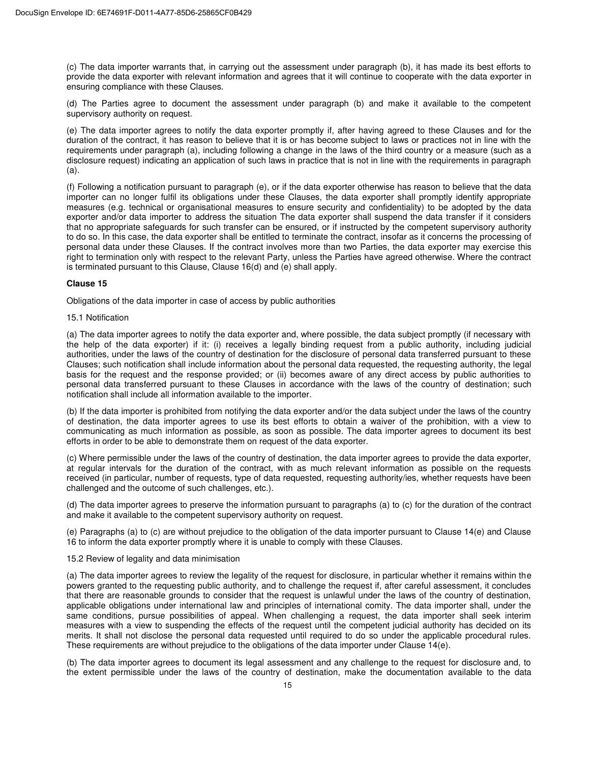(c) The data importer warrants that, in carrying out the assessment under paragraph (b), it has made its best efforts to provide the data exporter with relevant information and agrees that it will continue to cooperate with the data exporter in ensuring compliance with these Clauses.

(d) The Parties agree to document the assessment under paragraph (b) and make it available to the competent supervisory authority on request.

(e) The data importer agrees to notify the data exporter promptly if, after having agreed to these Clauses and for the duration of the contract, it has reason to believe that it is or has become subject to laws or practices not in line with the requirements under paragraph (a), including following a change in the laws of the third country or a measure (such as a disclosure request) indicating an application of such laws in practice that is not in line with the requirements in paragraph (a).

(f) Following a notification pursuant to paragraph (e), or if the data exporter otherwise has reason to believe that the data importer can no longer fulfil its obligations under these Clauses, the data exporter shall promptly identify appropriate measures (e.g. technical or organisational measures to ensure security and confidentiality) to be adopted by the data exporter and/or data importer to address the situation The data exporter shall suspend the data transfer if it considers that no appropriate safeguards for such transfer can be ensured, or if instructed by the competent supervisory authority to do so. In this case, the data exporter shall be entitled to terminate the contract, insofar as it concerns the processing of personal data under these Clauses. If the contract involves more than two Parties, the data exporter may exercise this right to termination only with respect to the relevant Party, unless the Parties have agreed otherwise. Where the contract is terminated pursuant to this Clause, Clause 16(d) and (e) shall apply.

#### **Clause 15**

Obligations of the data importer in case of access by public authorities

#### 15.1 Notification

(a) The data importer agrees to notify the data exporter and, where possible, the data subject promptly (if necessary with the help of the data exporter) if it: (i) receives a legally binding request from a public authority, including judicial authorities, under the laws of the country of destination for the disclosure of personal data transferred pursuant to these Clauses; such notification shall include information about the personal data requested, the requesting authority, the legal basis for the request and the response provided; or (ii) becomes aware of any direct access by public authorities to personal data transferred pursuant to these Clauses in accordance with the laws of the country of destination; such notification shall include all information available to the importer.

(b) If the data importer is prohibited from notifying the data exporter and/or the data subject under the laws of the country of destination, the data importer agrees to use its best efforts to obtain a waiver of the prohibition, with a view to communicating as much information as possible, as soon as possible. The data importer agrees to document its best efforts in order to be able to demonstrate them on request of the data exporter.

(c) Where permissible under the laws of the country of destination, the data importer agrees to provide the data exporter, at regular intervals for the duration of the contract, with as much relevant information as possible on the requests received (in particular, number of requests, type of data requested, requesting authority/ies, whether requests have been challenged and the outcome of such challenges, etc.).

(d) The data importer agrees to preserve the information pursuant to paragraphs (a) to (c) for the duration of the contract and make it available to the competent supervisory authority on request.

(e) Paragraphs (a) to (c) are without prejudice to the obligation of the data importer pursuant to Clause 14(e) and Clause 16 to inform the data exporter promptly where it is unable to comply with these Clauses.

#### 15.2 Review of legality and data minimisation

(a) The data importer agrees to review the legality of the request for disclosure, in particular whether it remains within the powers granted to the requesting public authority, and to challenge the request if, after careful assessment, it concludes that there are reasonable grounds to consider that the request is unlawful under the laws of the country of destination, applicable obligations under international law and principles of international comity. The data importer shall, under the same conditions, pursue possibilities of appeal. When challenging a request, the data importer shall seek interim measures with a view to suspending the effects of the request until the competent judicial authority has decided on its merits. It shall not disclose the personal data requested until required to do so under the applicable procedural rules. These requirements are without prejudice to the obligations of the data importer under Clause 14(e).

(b) The data importer agrees to document its legal assessment and any challenge to the request for disclosure and, to the extent permissible under the laws of the country of destination, make the documentation available to the data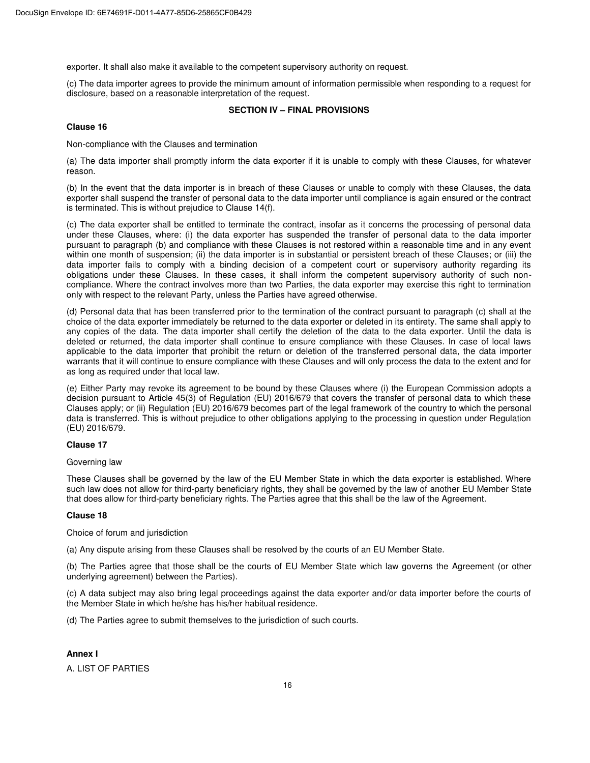exporter. It shall also make it available to the competent supervisory authority on request.

(c) The data importer agrees to provide the minimum amount of information permissible when responding to a request for disclosure, based on a reasonable interpretation of the request.

# **SECTION IV – FINAL PROVISIONS**

#### **Clause 16**

Non-compliance with the Clauses and termination

(a) The data importer shall promptly inform the data exporter if it is unable to comply with these Clauses, for whatever reason.

(b) In the event that the data importer is in breach of these Clauses or unable to comply with these Clauses, the data exporter shall suspend the transfer of personal data to the data importer until compliance is again ensured or the contract is terminated. This is without prejudice to Clause 14(f).

(c) The data exporter shall be entitled to terminate the contract, insofar as it concerns the processing of personal data under these Clauses, where: (i) the data exporter has suspended the transfer of personal data to the data importer pursuant to paragraph (b) and compliance with these Clauses is not restored within a reasonable time and in any event within one month of suspension; (ii) the data importer is in substantial or persistent breach of these Clauses; or (iii) the data importer fails to comply with a binding decision of a competent court or supervisory authority regarding its obligations under these Clauses. In these cases, it shall inform the competent supervisory authority of such noncompliance. Where the contract involves more than two Parties, the data exporter may exercise this right to termination only with respect to the relevant Party, unless the Parties have agreed otherwise.

(d) Personal data that has been transferred prior to the termination of the contract pursuant to paragraph (c) shall at the choice of the data exporter immediately be returned to the data exporter or deleted in its entirety. The same shall apply to any copies of the data. The data importer shall certify the deletion of the data to the data exporter. Until the data is deleted or returned, the data importer shall continue to ensure compliance with these Clauses. In case of local laws applicable to the data importer that prohibit the return or deletion of the transferred personal data, the data importer warrants that it will continue to ensure compliance with these Clauses and will only process the data to the extent and for as long as required under that local law.

(e) Either Party may revoke its agreement to be bound by these Clauses where (i) the European Commission adopts a decision pursuant to Article 45(3) of Regulation (EU) 2016/679 that covers the transfer of personal data to which these Clauses apply; or (ii) Regulation (EU) 2016/679 becomes part of the legal framework of the country to which the personal data is transferred. This is without prejudice to other obligations applying to the processing in question under Regulation (EU) 2016/679.

#### **Clause 17**

Governing law

These Clauses shall be governed by the law of the EU Member State in which the data exporter is established. Where such law does not allow for third-party beneficiary rights, they shall be governed by the law of another EU Member State that does allow for third-party beneficiary rights. The Parties agree that this shall be the law of the Agreement.

#### **Clause 18**

Choice of forum and jurisdiction

(a) Any dispute arising from these Clauses shall be resolved by the courts of an EU Member State.

(b) The Parties agree that those shall be the courts of EU Member State which law governs the Agreement (or other underlying agreement) between the Parties).

(c) A data subject may also bring legal proceedings against the data exporter and/or data importer before the courts of the Member State in which he/she has his/her habitual residence.

(d) The Parties agree to submit themselves to the jurisdiction of such courts.

#### <span id="page-15-0"></span>**Annex I**

A. LIST OF PARTIES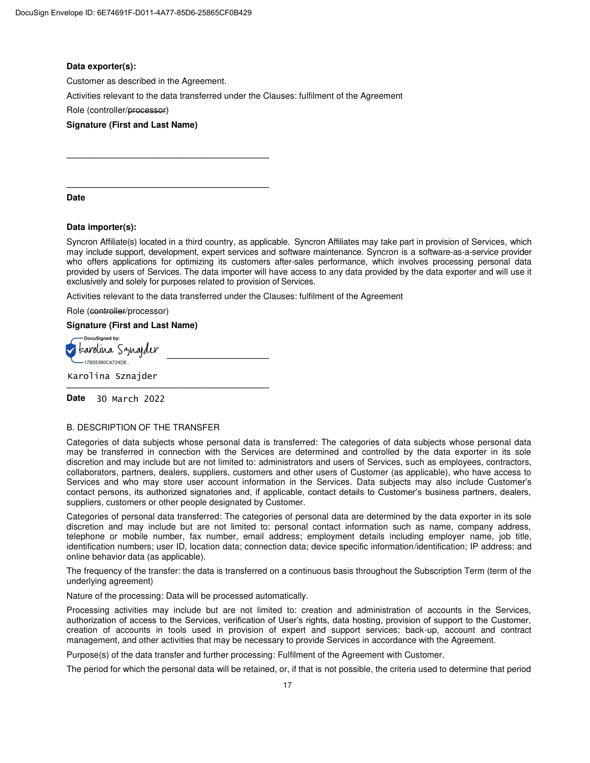# **Data exporter(s):**

Customer as described in the Agreement.

**\_\_\_\_\_\_\_\_\_\_\_\_\_\_\_\_\_\_\_\_\_\_\_\_\_\_\_\_\_\_\_\_\_\_\_\_\_\_\_\_\_\_** 

**\_\_\_\_\_\_\_\_\_\_\_\_\_\_\_\_\_\_\_\_\_\_\_\_\_\_\_\_\_\_\_\_\_\_\_\_\_\_\_\_\_\_** 

Activities relevant to the data transferred under the Clauses: fulfilment of the Agreement

Role (controller/processor)

**Signature (First and Last Name)** 

**Date** 

#### **Data importer(s):**

Syncron Affiliate(s) located in a third country, as applicable. Syncron Affiliates may take part in provision of Services, which may include support, development, expert services and software maintenance. Syncron is a software-as-a-service provider who offers applications for optimizing its customers after-sales performance, which involves processing personal data provided by users of Services. The data importer will have access to any data provided by the data exporter and will use it exclusively and solely for purposes related to provision of Services.

Activities relevant to the data transferred under the Clauses: fulfilment of the Agreement

Role (controller/processor)

**Signature (First and Last Name)** 

| <b>─DocuSigned by:</b><br>Starolina Sznajder |  |
|----------------------------------------------|--|
| 17B55360CA724D6                              |  |

**\_\_\_\_\_\_\_\_\_\_\_\_\_\_\_\_\_\_\_\_\_\_\_\_\_\_\_\_\_\_\_\_\_\_\_\_\_\_\_\_\_\_**  Karolina Sznajder

**Date**  30 March 2022

#### B. DESCRIPTION OF THE TRANSFER

Categories of data subjects whose personal data is transferred: The categories of data subjects whose personal data may be transferred in connection with the Services are determined and controlled by the data exporter in its sole discretion and may include but are not limited to: administrators and users of Services, such as employees, contractors, collaborators, partners, dealers, suppliers, customers and other users of Customer (as applicable), who have access to Services and who may store user account information in the Services. Data subjects may also include Customer's contact persons, its authorized signatories and, if applicable, contact details to Customer's business partners, dealers, suppliers, customers or other people designated by Customer.

Categories of personal data transferred: The categories of personal data are determined by the data exporter in its sole discretion and may include but are not limited to: personal contact information such as name, company address, telephone or mobile number, fax number, email address; employment details including employer name, job title, identification numbers; user ID, location data; connection data; device specific information/identification; IP address; and online behavior data (as applicable).

The frequency of the transfer: the data is transferred on a continuous basis throughout the Subscription Term (term of the underlying agreement)

Nature of the processing: Data will be processed automatically.

Processing activities may include but are not limited to: creation and administration of accounts in the Services, authorization of access to the Services, verification of User's rights, data hosting, provision of support to the Customer, creation of accounts in tools used in provision of expert and support services; back-up, account and contract management, and other activities that may be necessary to provide Services in accordance with the Agreement.

Purpose(s) of the data transfer and further processing: Fulfilment of the Agreement with Customer.

The period for which the personal data will be retained, or, if that is not possible, the criteria used to determine that period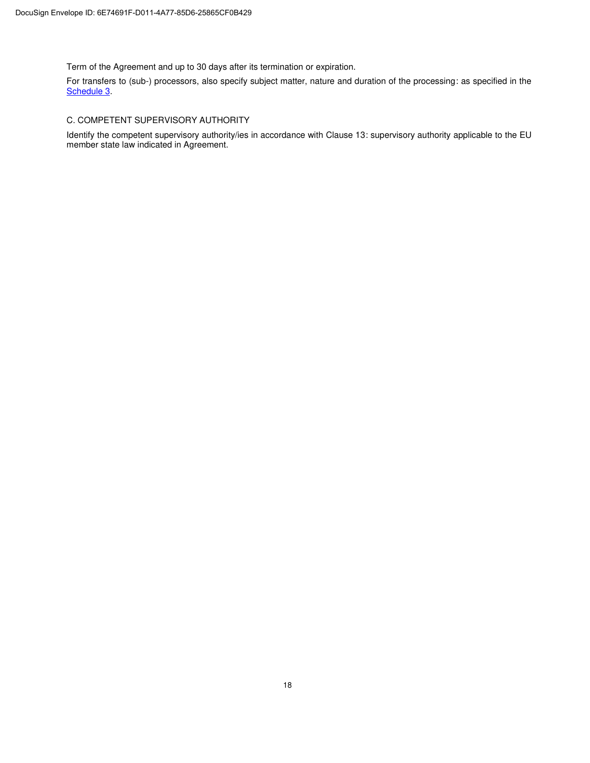Term of the Agreement and up to 30 days after its termination or expiration.

For transfers to (sub-) processors, also specify subject matter, nature and duration of the processing: as specified in the Schedule 3.

# C. COMPETENT SUPERVISORY AUTHORITY

<span id="page-17-0"></span>Identify the competent supervisory authority/ies in accordance with Clause 13: supervisory authority applicable to the EU member state law indicated in Agreement.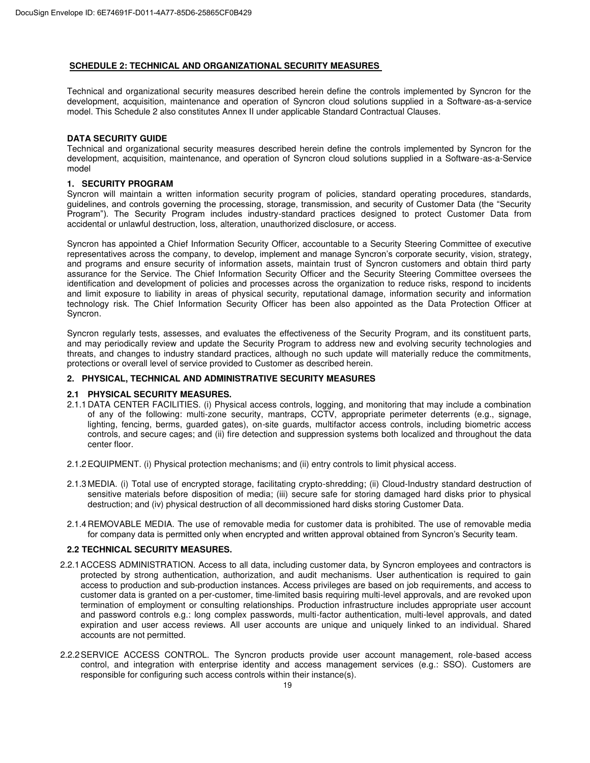## **SCHEDULE 2: TECHNICAL AND ORGANIZATIONAL SECURITY MEASURES**

Technical and organizational security measures described herein define the controls implemented by Syncron for the development, acquisition, maintenance and operation of Syncron cloud solutions supplied in a Software-as-a-service model. This Schedule 2 also constitutes Annex II under applicable Standard Contractual Clauses.

#### **DATA SECURITY GUIDE**

Technical and organizational security measures described herein define the controls implemented by Syncron for the development, acquisition, maintenance, and operation of Syncron cloud solutions supplied in a Software-as-a-Service model

#### **1. SECURITY PROGRAM**

Syncron will maintain a written information security program of policies, standard operating procedures, standards, guidelines, and controls governing the processing, storage, transmission, and security of Customer Data (the "Security Program"). The Security Program includes industry-standard practices designed to protect Customer Data from accidental or unlawful destruction, loss, alteration, unauthorized disclosure, or access.

Syncron has appointed a Chief Information Security Officer, accountable to a Security Steering Committee of executive representatives across the company, to develop, implement and manage Syncron's corporate security, vision, strategy, and programs and ensure security of information assets, maintain trust of Syncron customers and obtain third party assurance for the Service. The Chief Information Security Officer and the Security Steering Committee oversees the identification and development of policies and processes across the organization to reduce risks, respond to incidents and limit exposure to liability in areas of physical security, reputational damage, information security and information technology risk. The Chief Information Security Officer has been also appointed as the Data Protection Officer at Syncron.

Syncron regularly tests, assesses, and evaluates the effectiveness of the Security Program, and its constituent parts, and may periodically review and update the Security Program to address new and evolving security technologies and threats, and changes to industry standard practices, although no such update will materially reduce the commitments, protections or overall level of service provided to Customer as described herein.

## **2. PHYSICAL, TECHNICAL AND ADMINISTRATIVE SECURITY MEASURES**

#### **2.1 PHYSICAL SECURITY MEASURES.**

- 2.1.1 DATA CENTER FACILITIES. (i) Physical access controls, logging, and monitoring that may include a combination of any of the following: multi-zone security, mantraps, CCTV, appropriate perimeter deterrents (e.g., signage, lighting, fencing, berms, guarded gates), on-site guards, multifactor access controls, including biometric access controls, and secure cages; and (ii) fire detection and suppression systems both localized and throughout the data center floor.
- 2.1.2 EQUIPMENT. (i) Physical protection mechanisms; and (ii) entry controls to limit physical access.
- 2.1.3 MEDIA. (i) Total use of encrypted storage, facilitating crypto-shredding; (ii) Cloud-Industry standard destruction of sensitive materials before disposition of media; (iii) secure safe for storing damaged hard disks prior to physical destruction; and (iv) physical destruction of all decommissioned hard disks storing Customer Data.
- 2.1.4 REMOVABLE MEDIA. The use of removable media for customer data is prohibited. The use of removable media for company data is permitted only when encrypted and written approval obtained from Syncron's Security team.

#### **2.2 TECHNICAL SECURITY MEASURES.**

- 2.2.1 ACCESS ADMINISTRATION. Access to all data, including customer data, by Syncron employees and contractors is protected by strong authentication, authorization, and audit mechanisms. User authentication is required to gain access to production and sub-production instances. Access privileges are based on job requirements, and access to customer data is granted on a per-customer, time-limited basis requiring multi-level approvals, and are revoked upon termination of employment or consulting relationships. Production infrastructure includes appropriate user account and password controls e.g.: long complex passwords, multi-factor authentication, multi-level approvals, and dated expiration and user access reviews. All user accounts are unique and uniquely linked to an individual. Shared accounts are not permitted.
- 2.2.2 SERVICE ACCESS CONTROL. The Syncron products provide user account management, role-based access control, and integration with enterprise identity and access management services (e.g.: SSO). Customers are responsible for configuring such access controls within their instance(s).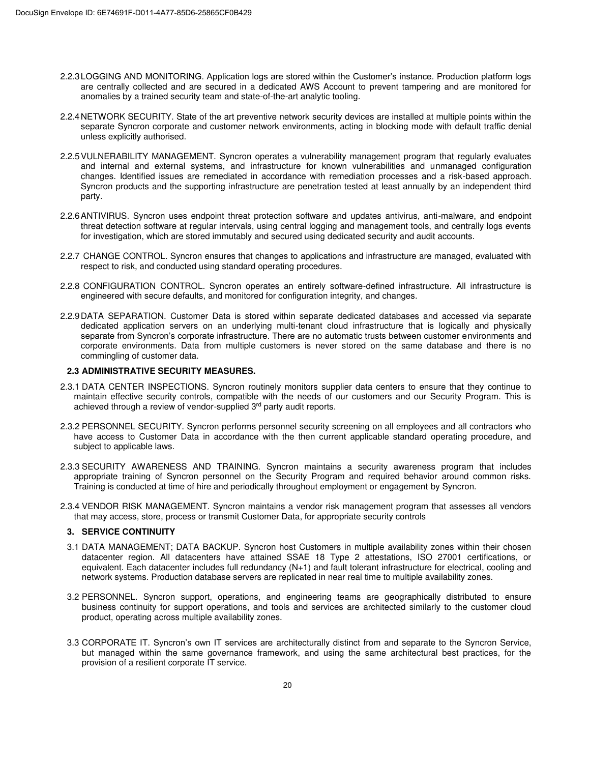- 2.2.3 LOGGING AND MONITORING. Application logs are stored within the Customer's instance. Production platform logs are centrally collected and are secured in a dedicated AWS Account to prevent tampering and are monitored for anomalies by a trained security team and state-of-the-art analytic tooling.
- 2.2.4 NETWORK SECURITY. State of the art preventive network security devices are installed at multiple points within the separate Syncron corporate and customer network environments, acting in blocking mode with default traffic denial unless explicitly authorised.
- 2.2.5 VULNERABILITY MANAGEMENT. Syncron operates a vulnerability management program that regularly evaluates and internal and external systems, and infrastructure for known vulnerabilities and unmanaged configuration changes. Identified issues are remediated in accordance with remediation processes and a risk-based approach. Syncron products and the supporting infrastructure are penetration tested at least annually by an independent third party.
- 2.2.6 ANTIVIRUS. Syncron uses endpoint threat protection software and updates antivirus, anti-malware, and endpoint threat detection software at regular intervals, using central logging and management tools, and centrally logs events for investigation, which are stored immutably and secured using dedicated security and audit accounts.
- 2.2.7 CHANGE CONTROL. Syncron ensures that changes to applications and infrastructure are managed, evaluated with respect to risk, and conducted using standard operating procedures.
- 2.2.8 CONFIGURATION CONTROL. Syncron operates an entirely software-defined infrastructure. All infrastructure is engineered with secure defaults, and monitored for configuration integrity, and changes.
- 2.2.9 DATA SEPARATION. Customer Data is stored within separate dedicated databases and accessed via separate dedicated application servers on an underlying multi-tenant cloud infrastructure that is logically and physically separate from Syncron's corporate infrastructure. There are no automatic trusts between customer environments and corporate environments. Data from multiple customers is never stored on the same database and there is no commingling of customer data.

#### **2.3 ADMINISTRATIVE SECURITY MEASURES.**

- 2.3.1 DATA CENTER INSPECTIONS. Syncron routinely monitors supplier data centers to ensure that they continue to maintain effective security controls, compatible with the needs of our customers and our Security Program. This is achieved through a review of vendor-supplied 3<sup>rd</sup> party audit reports.
- 2.3.2 PERSONNEL SECURITY. Syncron performs personnel security screening on all employees and all contractors who have access to Customer Data in accordance with the then current applicable standard operating procedure, and subject to applicable laws.
- 2.3.3 SECURITY AWARENESS AND TRAINING. Syncron maintains a security awareness program that includes appropriate training of Syncron personnel on the Security Program and required behavior around common risks. Training is conducted at time of hire and periodically throughout employment or engagement by Syncron.
- 2.3.4 VENDOR RISK MANAGEMENT. Syncron maintains a vendor risk management program that assesses all vendors that may access, store, process or transmit Customer Data, for appropriate security controls

#### **3. SERVICE CONTINUITY**

- 3.1 DATA MANAGEMENT; DATA BACKUP. Syncron host Customers in multiple availability zones within their chosen datacenter region. All datacenters have attained SSAE 18 Type 2 attestations, ISO 27001 certifications, or equivalent. Each datacenter includes full redundancy (N+1) and fault tolerant infrastructure for electrical, cooling and network systems. Production database servers are replicated in near real time to multiple availability zones.
- 3.2 PERSONNEL. Syncron support, operations, and engineering teams are geographically distributed to ensure business continuity for support operations, and tools and services are architected similarly to the customer cloud product, operating across multiple availability zones.
- 3.3 CORPORATE IT. Syncron's own IT services are architecturally distinct from and separate to the Syncron Service, but managed within the same governance framework, and using the same architectural best practices, for the provision of a resilient corporate IT service.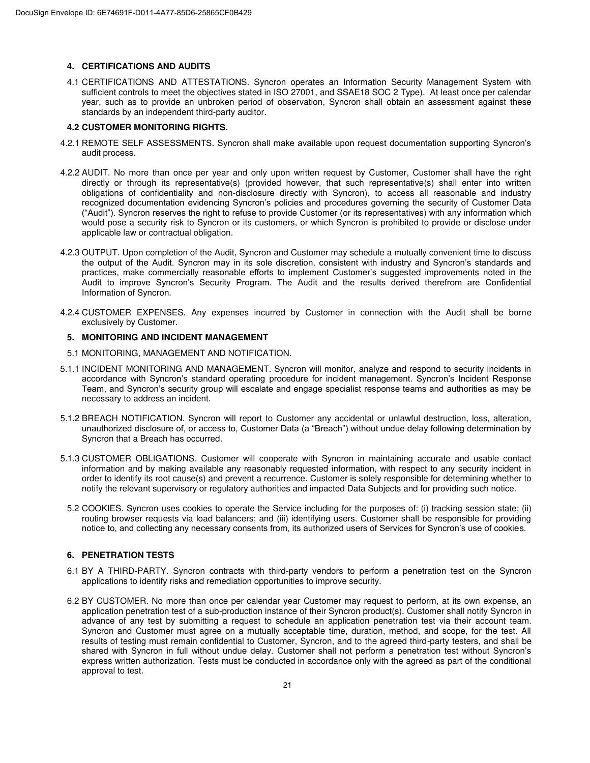# **4. CERTIFICATIONS AND AUDITS**

4.1 CERTIFICATIONS AND ATTESTATIONS. Syncron operates an Information Security Management System with sufficient controls to meet the objectives stated in ISO 27001, and SSAE18 SOC 2 Type). At least once per calendar year, such as to provide an unbroken period of observation, Syncron shall obtain an assessment against these standards by an independent third-party auditor.

## **4.2 CUSTOMER MONITORING RIGHTS.**

- 4.2.1 REMOTE SELF ASSESSMENTS. Syncron shall make available upon request documentation supporting Syncron's audit process.
- 4.2.2 AUDIT. No more than once per year and only upon written request by Customer, Customer shall have the right directly or through its representative(s) (provided however, that such representative(s) shall enter into written obligations of confidentiality and non-disclosure directly with Syncron), to access all reasonable and industry recognized documentation evidencing Syncron's policies and procedures governing the security of Customer Data ("Audit"). Syncron reserves the right to refuse to provide Customer (or its representatives) with any information which would pose a security risk to Syncron or its customers, or which Syncron is prohibited to provide or disclose under applicable law or contractual obligation.
- 4.2.3 OUTPUT. Upon completion of the Audit, Syncron and Customer may schedule a mutually convenient time to discuss the output of the Audit. Syncron may in its sole discretion, consistent with industry and Syncron's standards and practices, make commercially reasonable efforts to implement Customer's suggested improvements noted in the Audit to improve Syncron's Security Program. The Audit and the results derived therefrom are Confidential Information of Syncron.
- 4.2.4 CUSTOMER EXPENSES. Any expenses incurred by Customer in connection with the Audit shall be borne exclusively by Customer.

## **5. MONITORING AND INCIDENT MANAGEMENT**

- 5.1 MONITORING, MANAGEMENT AND NOTIFICATION.
- 5.1.1 INCIDENT MONITORING AND MANAGEMENT. Syncron will monitor, analyze and respond to security incidents in accordance with Syncron's standard operating procedure for incident management. Syncron's Incident Response Team, and Syncron's security group will escalate and engage specialist response teams and authorities as may be necessary to address an incident.
- 5.1.2 BREACH NOTIFICATION. Syncron will report to Customer any accidental or unlawful destruction, loss, alteration, unauthorized disclosure of, or access to, Customer Data (a "Breach") without undue delay following determination by Syncron that a Breach has occurred.
- 5.1.3 CUSTOMER OBLIGATIONS. Customer will cooperate with Syncron in maintaining accurate and usable contact information and by making available any reasonably requested information, with respect to any security incident in order to identify its root cause(s) and prevent a recurrence. Customer is solely responsible for determining whether to notify the relevant supervisory or regulatory authorities and impacted Data Subjects and for providing such notice.
- 5.2 COOKIES. Syncron uses cookies to operate the Service including for the purposes of: (i) tracking session state; (ii) routing browser requests via load balancers; and (iii) identifying users. Customer shall be responsible for providing notice to, and collecting any necessary consents from, its authorized users of Services for Syncron's use of cookies.

# **6. PENETRATION TESTS**

- 6.1 BY A THIRD-PARTY. Syncron contracts with third-party vendors to perform a penetration test on the Syncron applications to identify risks and remediation opportunities to improve security.
- 6.2 BY CUSTOMER. No more than once per calendar year Customer may request to perform, at its own expense, an application penetration test of a sub-production instance of their Syncron product(s). Customer shall notify Syncron in advance of any test by submitting a request to schedule an application penetration test via their account team. Syncron and Customer must agree on a mutually acceptable time, duration, method, and scope, for the test. All results of testing must remain confidential to Customer, Syncron, and to the agreed third-party testers, and shall be shared with Syncron in full without undue delay. Customer shall not perform a penetration test without Syncron's express written authorization. Tests must be conducted in accordance only with the agreed as part of the conditional approval to test.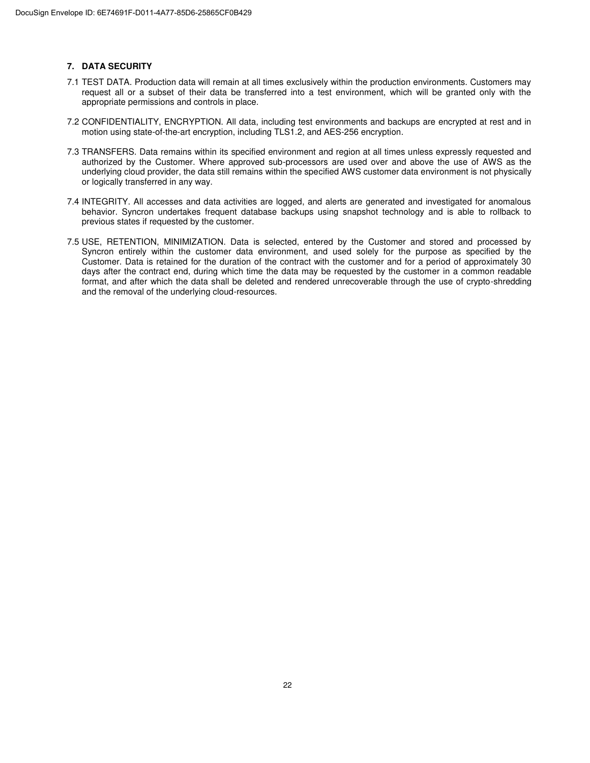# **7. DATA SECURITY**

- 7.1 TEST DATA. Production data will remain at all times exclusively within the production environments. Customers may request all or a subset of their data be transferred into a test environment, which will be granted only with the appropriate permissions and controls in place.
- 7.2 CONFIDENTIALITY, ENCRYPTION. All data, including test environments and backups are encrypted at rest and in motion using state-of-the-art encryption, including TLS1.2, and AES-256 encryption.
- 7.3 TRANSFERS. Data remains within its specified environment and region at all times unless expressly requested and authorized by the Customer. Where approved sub-processors are used over and above the use of AWS as the underlying cloud provider, the data still remains within the specified AWS customer data environment is not physically or logically transferred in any way.
- 7.4 INTEGRITY. All accesses and data activities are logged, and alerts are generated and investigated for anomalous behavior. Syncron undertakes frequent database backups using snapshot technology and is able to rollback to previous states if requested by the customer.
- 7.5 USE, RETENTION, MINIMIZATION. Data is selected, entered by the Customer and stored and processed by Syncron entirely within the customer data environment, and used solely for the purpose as specified by the Customer. Data is retained for the duration of the contract with the customer and for a period of approximately 30 days after the contract end, during which time the data may be requested by the customer in a common readable format, and after which the data shall be deleted and rendered unrecoverable through the use of crypto-shredding and the removal of the underlying cloud-resources.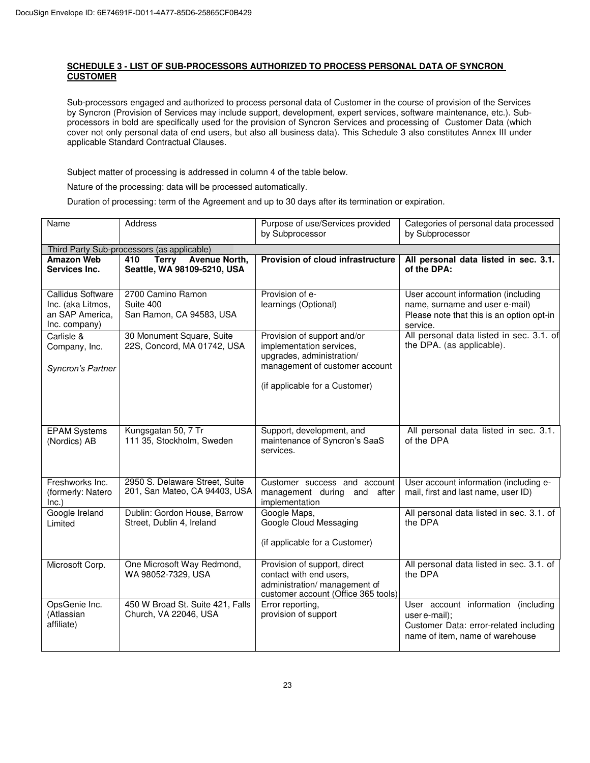# **SCHEDULE 3 - LIST OF SUB-PROCESSORS AUTHORIZED TO PROCESS PERSONAL DATA OF SYNCRON CUSTOMER**

Sub-processors engaged and authorized to process personal data of Customer in the course of provision of the Services by Syncron (Provision of Services may include support, development, expert services, software maintenance, etc.). Subprocessors in bold are specifically used for the provision of Syncron Services and processing of Customer Data (which cover not only personal data of end users, but also all business data). This Schedule 3 also constitutes Annex III under applicable Standard Contractual Clauses.

Subject matter of processing is addressed in column 4 of the table below.

Nature of the processing: data will be processed automatically.

Duration of processing: term of the Agreement and up to 30 days after its termination or expiration.

| Name                                                                              | Address                                                             | Purpose of use/Services provided<br>by Subprocessor                                                                                                      | Categories of personal data processed<br>by Subprocessor                                                                          |
|-----------------------------------------------------------------------------------|---------------------------------------------------------------------|----------------------------------------------------------------------------------------------------------------------------------------------------------|-----------------------------------------------------------------------------------------------------------------------------------|
|                                                                                   | Third Party Sub-processors (as applicable)                          |                                                                                                                                                          |                                                                                                                                   |
| <b>Amazon Web</b><br>Services Inc.                                                | <b>Avenue North,</b><br>410<br>Terry<br>Seattle, WA 98109-5210, USA | Provision of cloud infrastructure                                                                                                                        | All personal data listed in sec. 3.1.<br>of the DPA:                                                                              |
| <b>Callidus Software</b><br>Inc. (aka Litmos,<br>an SAP America,<br>Inc. company) | 2700 Camino Ramon<br>Suite 400<br>San Ramon, CA 94583, USA          | Provision of e-<br>learnings (Optional)                                                                                                                  | User account information (including<br>name, surname and user e-mail)<br>Please note that this is an option opt-in<br>service.    |
| Carlisle &<br>Company, Inc.<br>Syncron's Partner                                  | 30 Monument Square, Suite<br>22S, Concord, MA 01742, USA            | Provision of support and/or<br>implementation services,<br>upgrades, administration/<br>management of customer account<br>(if applicable for a Customer) | All personal data listed in sec. 3.1. of<br>the DPA. (as applicable).                                                             |
| <b>EPAM Systems</b><br>(Nordics) AB                                               | Kungsgatan 50, 7 Tr<br>111 35, Stockholm, Sweden                    | Support, development, and<br>maintenance of Syncron's SaaS<br>services.                                                                                  | All personal data listed in sec. 3.1.<br>of the DPA                                                                               |
| Freshworks Inc.<br>(formerly: Natero<br>$lnc.$ )                                  | 2950 S. Delaware Street, Suite<br>201, San Mateo, CA 94403, USA     | Customer success and account<br>management during and after<br>implementation                                                                            | User account information (including e-<br>mail, first and last name, user ID)                                                     |
| Google Ireland<br>Limited                                                         | Dublin: Gordon House, Barrow<br>Street, Dublin 4, Ireland           | Google Maps,<br>Google Cloud Messaging<br>(if applicable for a Customer)                                                                                 | All personal data listed in sec. 3.1. of<br>the DPA                                                                               |
| Microsoft Corp.                                                                   | One Microsoft Way Redmond,<br>WA 98052-7329, USA                    | Provision of support, direct<br>contact with end users,<br>administration/ management of<br>customer account (Office 365 tools)                          | All personal data listed in sec. 3.1. of<br>the DPA                                                                               |
| OpsGenie Inc.<br>(Atlassian<br>affiliate)                                         | 450 W Broad St. Suite 421, Falls<br>Church, VA 22046, USA           | Error reporting,<br>provision of support                                                                                                                 | User account information (including<br>user e-mail);<br>Customer Data: error-related including<br>name of item, name of warehouse |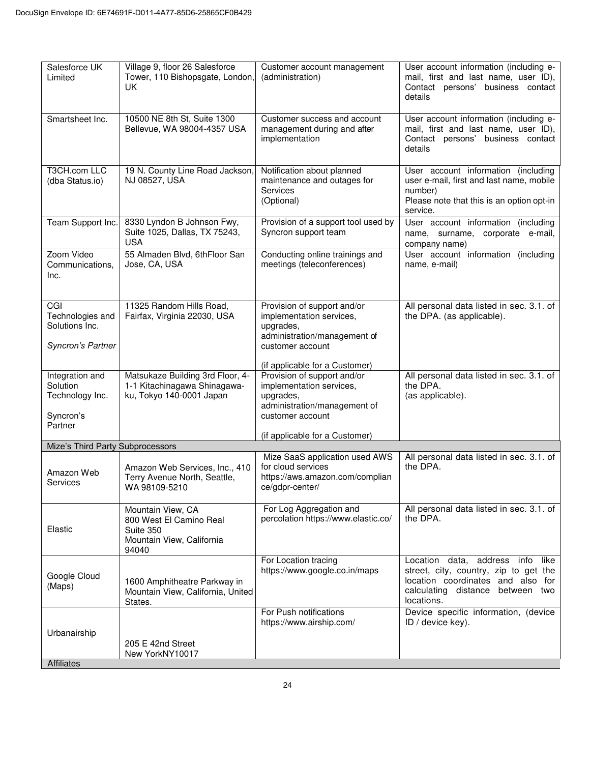| Salesforce UK<br>Limited                                               | Village 9, floor 26 Salesforce<br>Tower, 110 Bishopsgate, London,<br>UK.                        | Customer account management<br>(administration)                                                                          | User account information (including e-<br>mail, first and last name, user ID),<br>Contact persons' business contact<br>details                                   |
|------------------------------------------------------------------------|-------------------------------------------------------------------------------------------------|--------------------------------------------------------------------------------------------------------------------------|------------------------------------------------------------------------------------------------------------------------------------------------------------------|
| Smartsheet Inc.                                                        | 10500 NE 8th St, Suite 1300<br>Bellevue, WA 98004-4357 USA                                      | Customer success and account<br>management during and after<br>implementation                                            | User account information (including e-<br>mail, first and last name, user ID),<br>Contact persons' business contact<br>details                                   |
| T3CH.com LLC<br>(dba Status.io)                                        | 19 N. County Line Road Jackson,<br>NJ 08527, USA                                                | Notification about planned<br>maintenance and outages for<br><b>Services</b><br>(Optional)                               | User account information (including<br>user e-mail, first and last name, mobile<br>number)<br>Please note that this is an option opt-in<br>service.              |
| Team Support Inc.                                                      | 8330 Lyndon B Johnson Fwy,<br>Suite 1025, Dallas, TX 75243,<br><b>USA</b>                       | Provision of a support tool used by<br>Syncron support team                                                              | User account information (including<br>name, surname, corporate e-mail,<br>company name)                                                                         |
| Zoom Video<br>Communications,<br>Inc.                                  | 55 Almaden Blvd, 6thFloor San<br>Jose, CA, USA                                                  | Conducting online trainings and<br>meetings (teleconferences)                                                            | User account information (including<br>name, e-mail)                                                                                                             |
| CGI<br>Technologies and<br>Solutions Inc.                              | 11325 Random Hills Road,<br>Fairfax, Virginia 22030, USA                                        | Provision of support and/or<br>implementation services,<br>upgrades,<br>administration/management of                     | All personal data listed in sec. 3.1. of<br>the DPA. (as applicable).                                                                                            |
| Syncron's Partner                                                      |                                                                                                 | customer account<br>(if applicable for a Customer)                                                                       |                                                                                                                                                                  |
| Integration and<br>Solution<br>Technology Inc.<br>Syncron's<br>Partner | Matsukaze Building 3rd Floor, 4-<br>1-1 Kitachinagawa Shinagawa-<br>ku, Tokyo 140-0001 Japan    | Provision of support and/or<br>implementation services,<br>upgrades,<br>administration/management of<br>customer account | All personal data listed in sec. 3.1. of<br>the DPA.<br>(as applicable).                                                                                         |
|                                                                        |                                                                                                 | (if applicable for a Customer)                                                                                           |                                                                                                                                                                  |
| Mize's Third Party Subprocessors                                       |                                                                                                 | Mize SaaS application used AWS                                                                                           | All personal data listed in sec. 3.1. of                                                                                                                         |
| Amazon Web<br>Services                                                 | Amazon Web Services, Inc., 410<br>Terry Avenue North, Seattle,<br>WA 98109-5210                 | for cloud services<br>https://aws.amazon.com/complian<br>ce/gdpr-center/                                                 | the DPA.                                                                                                                                                         |
| Elastic                                                                | Mountain View, CA<br>800 West El Camino Real<br>Suite 350<br>Mountain View, California<br>94040 | For Log Aggregation and<br>percolation https://www.elastic.co/                                                           | All personal data listed in sec. 3.1. of<br>the DPA.                                                                                                             |
| Google Cloud<br>(Maps)                                                 | 1600 Amphitheatre Parkway in<br>Mountain View, California, United<br>States.                    | For Location tracing<br>https://www.google.co.in/maps                                                                    | Location data, address info like<br>street, city, country, zip to get the<br>location coordinates and also for<br>calculating distance between two<br>locations. |
| Urbanairship                                                           |                                                                                                 | For Push notifications<br>https://www.airship.com/                                                                       | Device specific information, (device<br>ID / device key).                                                                                                        |
| <b>Affiliates</b>                                                      | 205 E 42nd Street<br>New YorkNY10017                                                            |                                                                                                                          |                                                                                                                                                                  |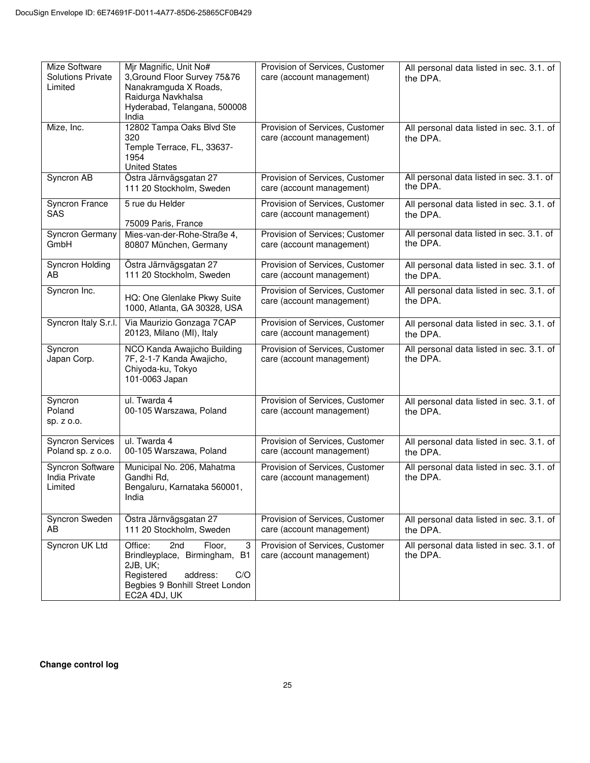| Mize Software<br><b>Solutions Private</b><br>Limited | Mir Magnific, Unit No#<br>3, Ground Floor Survey 75&76<br>Nanakramguda X Roads,<br>Raidurga Navkhalsa<br>Hyderabad, Telangana, 500008<br>India                             | Provision of Services, Customer<br>care (account management) | All personal data listed in sec. 3.1. of<br>the DPA. |
|------------------------------------------------------|----------------------------------------------------------------------------------------------------------------------------------------------------------------------------|--------------------------------------------------------------|------------------------------------------------------|
| Mize, Inc.                                           | 12802 Tampa Oaks Blvd Ste<br>320<br>Temple Terrace, FL, 33637-<br>1954<br><b>United States</b>                                                                             | Provision of Services, Customer<br>care (account management) | All personal data listed in sec. 3.1. of<br>the DPA. |
| Syncron AB                                           | Östra Järnvägsgatan 27                                                                                                                                                     | Provision of Services, Customer                              | All personal data listed in sec. 3.1. of             |
|                                                      | 111 20 Stockholm, Sweden                                                                                                                                                   | care (account management)                                    | the DPA.                                             |
| Syncron France                                       | 5 rue du Helder                                                                                                                                                            | Provision of Services, Customer                              | All personal data listed in sec. 3.1. of             |
| SAS                                                  | 75009 Paris, France                                                                                                                                                        | care (account management)                                    | the DPA.                                             |
| Syncron Germany                                      | Mies-van-der-Rohe-Straße 4,                                                                                                                                                | Provision of Services; Customer                              | All personal data listed in sec. 3.1. of             |
| GmbH                                                 | 80807 München, Germany                                                                                                                                                     | care (account management)                                    | the DPA.                                             |
| <b>Syncron Holding</b>                               | Östra Järnvägsgatan 27                                                                                                                                                     | Provision of Services, Customer                              | All personal data listed in sec. 3.1. of             |
| AB                                                   | 111 20 Stockholm, Sweden                                                                                                                                                   | care (account management)                                    | the DPA.                                             |
| Syncron Inc.                                         | HQ: One Glenlake Pkwy Suite                                                                                                                                                | Provision of Services, Customer                              | All personal data listed in sec. 3.1. of             |
|                                                      | 1000, Atlanta, GA 30328, USA                                                                                                                                               | care (account management)                                    | the DPA.                                             |
| Syncron Italy S.r.l.                                 | Via Maurizio Gonzaga 7CAP                                                                                                                                                  | Provision of Services, Customer                              | All personal data listed in sec. 3.1. of             |
|                                                      | 20123, Milano (MI), Italy                                                                                                                                                  | care (account management)                                    | the DPA.                                             |
| Syncron<br>Japan Corp.                               | NCO Kanda Awajicho Building<br>7F, 2-1-7 Kanda Awajicho,<br>Chiyoda-ku, Tokyo<br>101-0063 Japan                                                                            | Provision of Services, Customer<br>care (account management) | All personal data listed in sec. 3.1. of<br>the DPA. |
| Syncron<br>Poland<br>Sp. z o.o.                      | ul. Twarda 4<br>00-105 Warszawa, Poland                                                                                                                                    | Provision of Services, Customer<br>care (account management) | All personal data listed in sec. 3.1. of<br>the DPA. |
| <b>Syncron Services</b>                              | ul. Twarda 4                                                                                                                                                               | Provision of Services, Customer                              | All personal data listed in sec. 3.1. of             |
| Poland sp. z o.o.                                    | 00-105 Warszawa, Poland                                                                                                                                                    | care (account management)                                    | the DPA.                                             |
| Syncron Software<br>India Private<br>Limited         | Municipal No. 206, Mahatma<br>Gandhi Rd,<br>Bengaluru, Karnataka 560001,<br>India                                                                                          | Provision of Services, Customer<br>care (account management) | All personal data listed in sec. 3.1. of<br>the DPA. |
| Syncron Sweden                                       | Östra Järnvägsgatan 27                                                                                                                                                     | Provision of Services, Customer                              | All personal data listed in sec. 3.1. of             |
| AB                                                   | 111 20 Stockholm, Sweden                                                                                                                                                   | care (account management)                                    | the DPA.                                             |
| Syncron UK Ltd                                       | Office:<br>2 <sub>nd</sub><br>Floor.<br>3<br>Brindleyplace, Birmingham, B1<br>2JB, UK;<br>address:<br>Registered<br>C/O<br>Begbies 9 Bonhill Street London<br>EC2A 4DJ, UK | Provision of Services, Customer<br>care (account management) | All personal data listed in sec. 3.1. of<br>the DPA. |

**Change control log**